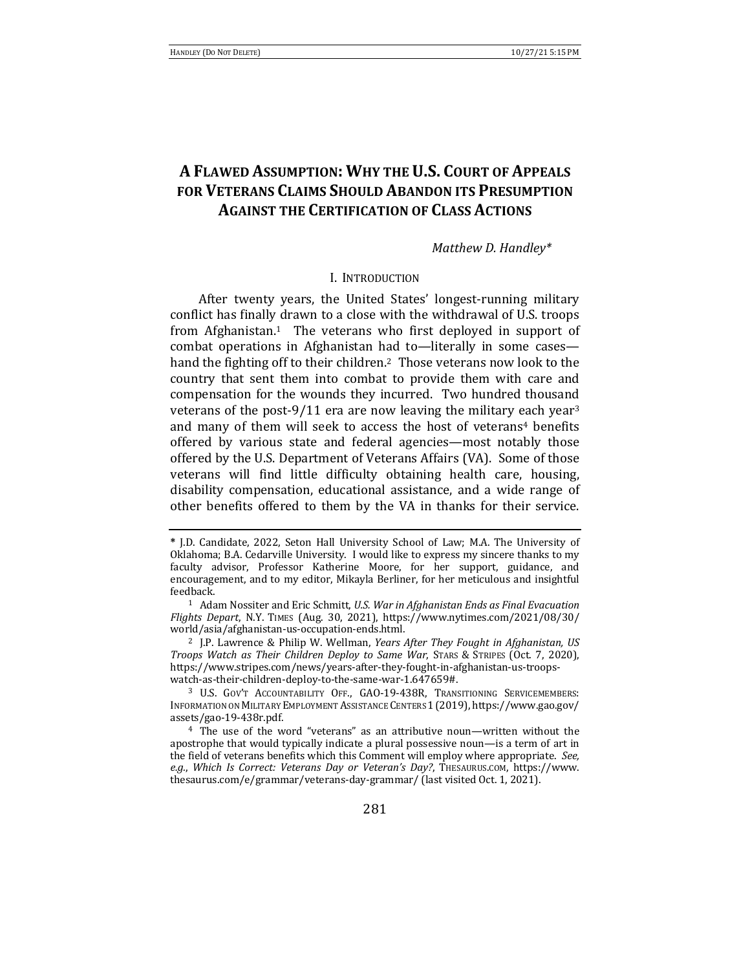# **A FLAWED ASSUMPTION: WHY THE U.S. COURT OF APPEALS FOR VETERANS CLAIMS SHOULD ABANDON ITS PRESUMPTION AGAINST THE CERTIFICATION OF CLASS ACTIONS**

*Matthew D. Handley\**

### I. INTRODUCTION

After twenty years, the United States' longest-running military conflict has finally drawn to a close with the withdrawal of U.S. troops from Afghanistan.<sup>1</sup> The veterans who first deployed in support of combat operations in Afghanistan had to—literally in some cases hand the fighting off to their children.<sup>2</sup> Those veterans now look to the country that sent them into combat to provide them with care and compensation for the wounds they incurred. Two hundred thousand veterans of the post-9/11 era are now leaving the military each year<sup>3</sup> and many of them will seek to access the host of veterans<sup>4</sup> benefits offered by various state and federal agencies—most notably those offered by the U.S. Department of Veterans Affairs (VA). Some of those veterans will find little difficulty obtaining health care, housing, disability compensation, educational assistance, and a wide range of other benefits offered to them by the VA in thanks for their service.

**<sup>\*</sup>** J.D. Candidate, 2022, Seton Hall University School of Law; M.A. The University of Oklahoma; B.A. Cedarville University. I would like to express my sincere thanks to my faculty advisor, Professor Katherine Moore, for her support, guidance, and encouragement, and to my editor, Mikayla Berliner, for her meticulous and insightful feedback.

<sup>&</sup>lt;sup>1</sup> Adam Nossiter and Eric Schmitt, *U.S. War in Afghanistan Ends as Final Evacuation Flights Depart*, N.Y. TIMES (Aug. 30, 2021), https://www.nytimes.com/2021/08/30/ world/asia/afghanistan-us-occupation-ends.html.

<sup>&</sup>lt;sup>2</sup> J.P. Lawrence & Philip W. Wellman, *Years After They Fought in Afghanistan, US Troops* Watch as Their Children Deploy to Same War, STARS & STRIPES (Oct. 7, 2020), https://www.stripes.com/news/years-after-they-fought-in-afghanistan-us-troopswatch-as-their-children-deploy-to-the-same-war-1.647659#.

<sup>&</sup>lt;sup>3</sup> U.S. GOV'T ACCOUNTABILITY OFF., GAO-19-438R, TRANSITIONING SERVICEMEMBERS: INFORMATION ON MILITARY EMPLOYMENT ASSISTANCE CENTERS 1 (2019), https://www.gao.gov/ assets/gao-19-438r.pdf.

 $4$  The use of the word "veterans" as an attributive noun—written without the apostrophe that would typically indicate a plural possessive noun—is a term of art in the field of veterans benefits which this Comment will employ where appropriate. See, e.g., Which Is Correct: Veterans Day or Veteran's Day?, THESAURUS.COM, https://www. thesaurus.com/e/grammar/veterans-day-grammar/ (last visited Oct. 1, 2021).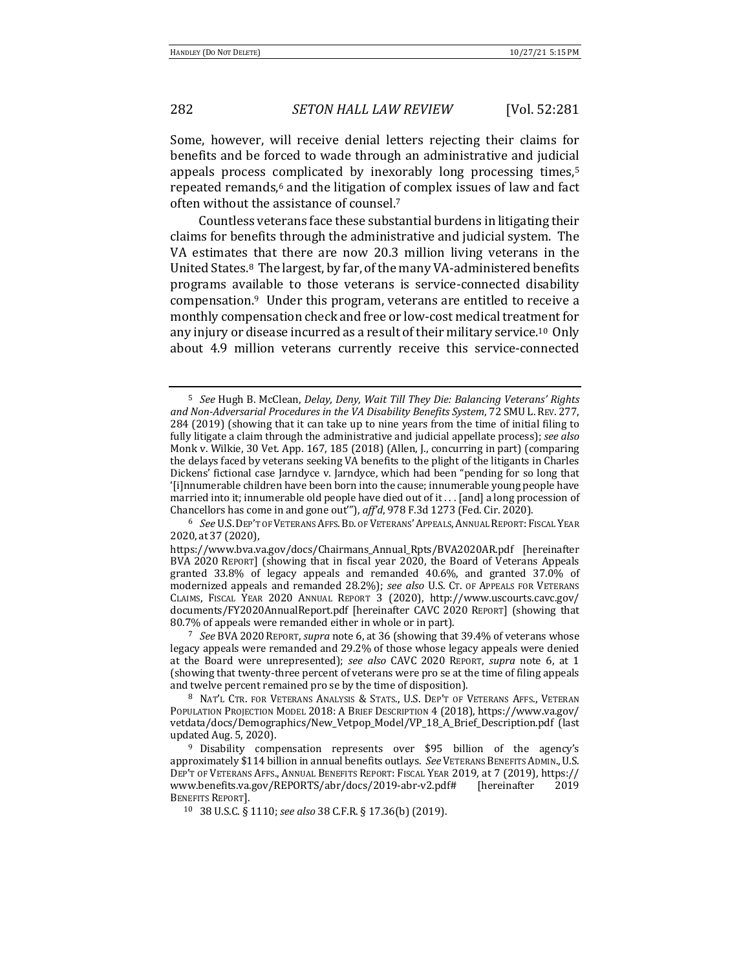Some, however, will receive denial letters rejecting their claims for benefits and be forced to wade through an administrative and judicial appeals process complicated by inexorably long processing times, $5$ repeated remands,<sup>6</sup> and the litigation of complex issues of law and fact often without the assistance of counsel.<sup>7</sup>

Countless veterans face these substantial burdens in litigating their claims for benefits through the administrative and judicial system. The VA estimates that there are now 20.3 million living veterans in the United States.<sup>8</sup> The largest, by far, of the many VA-administered benefits programs available to those veterans is service-connected disability compensation.<sup>9</sup> Under this program, veterans are entitled to receive a monthly compensation check and free or low-cost medical treatment for any injury or disease incurred as a result of their military service.<sup>10</sup> Only about 4.9 million veterans currently receive this service-connected

<sup>&</sup>lt;sup>5</sup> See Hugh B. McClean, *Delay, Deny, Wait Till They Die: Balancing Veterans' Rights* and Non-Adversarial Procedures in the VA Disability Benefits System, 72 SMU L. REV. 277, 284 (2019) (showing that it can take up to nine years from the time of initial filing to fully litigate a claim through the administrative and judicial appellate process); see also Monk v. Wilkie, 30 Vet. App. 167, 185 (2018) (Allen, J., concurring in part) (comparing the delays faced by veterans seeking VA benefits to the plight of the litigants in Charles Dickens' fictional case Jarndyce v. Jarndyce, which had been "pending for so long that '[i]nnumerable children have been born into the cause; innumerable young people have married into it; innumerable old people have died out of it . . . [and] a long procession of Chancellors has come in and gone out"'), aff'd, 978 F.3d 1273 (Fed. Cir. 2020).

<sup>&</sup>lt;sup>6</sup> See U.S. DEP'T OF VETERANS AFFS. BD. OF VETERANS' APPEALS, ANNUAL REPORT: FISCAL YEAR 2020, at 37 (2020), 

https://www.bva.va.gov/docs/Chairmans\_Annual\_Rpts/BVA2020AR.pdf [hereinafter BVA 2020 REPORT] (showing that in fiscal year 2020, the Board of Veterans Appeals granted 33.8% of legacy appeals and remanded 40.6%, and granted 37.0% of modernized appeals and remanded 28.2%); see also U.S. CT. OF APPEALS FOR VETERANS CLAIMS, FISCAL YEAR 2020 ANNUAL REPORT 3 (2020), http://www.uscourts.cavc.gov/ documents/FY2020AnnualReport.pdf [hereinafter CAVC 2020 REPORT] (showing that 80.7% of appeals were remanded either in whole or in part).

<sup>&</sup>lt;sup>7</sup> *See* BVA 2020 REPORT, *supra* note 6, at 36 (showing that 39.4% of veterans whose legacy appeals were remanded and 29.2% of those whose legacy appeals were denied at the Board were unrepresented); see also CAVC 2020 REPORT, *supra* note 6, at 1 (showing that twenty-three percent of veterans were pro se at the time of filing appeals and twelve percent remained pro se by the time of disposition).

<sup>8</sup> NAT'L CTR. FOR VETERANS ANALYSIS & STATS., U.S. DEP'T OF VETERANS AFFS., VETERAN POPULATION PROJECTION MODEL 2018: A BRIEF DESCRIPTION 4 (2018), https://www.va.gov/ vetdata/docs/Demographics/New\_Vetpop\_Model/VP\_18\_A\_Brief\_Description.pdf (last updated Aug. 5, 2020).

<sup>&</sup>lt;sup>9</sup> Disability compensation represents over \$95 billion of the agency's approximately \$114 billion in annual benefits outlays. See VETERANS BENEFITS ADMIN., U.S. DEP'T OF VETERANS AFFS., ANNUAL BENEFITS REPORT: FISCAL YEAR 2019, at 7 (2019), https:// www.benefits.va.gov/REPORTS/abr/docs/2019-abr-v2.pdf# [hereinafter 2019 BENEFITS REPORT].

<sup>10</sup> 38 U.S.C. § 1110; *see also* 38 C.F.R. § 17.36(b) (2019).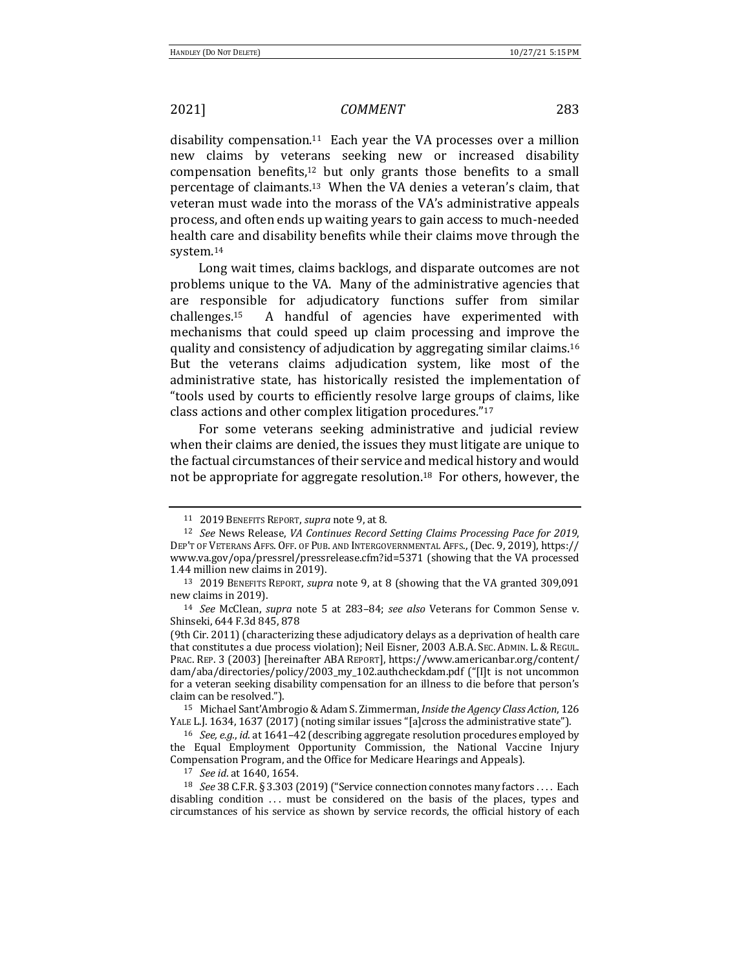disability compensation.<sup>11</sup> Each year the VA processes over a million new claims by veterans seeking new or increased disability compensation benefits, $12$  but only grants those benefits to a small percentage of claimants.<sup>13</sup> When the VA denies a veteran's claim, that veteran must wade into the morass of the VA's administrative appeals process, and often ends up waiting years to gain access to much-needed health care and disability benefits while their claims move through the system.14

Long wait times, claims backlogs, and disparate outcomes are not problems unique to the VA. Many of the administrative agencies that are responsible for adjudicatory functions suffer from similar challenges. A handful of agencies have experimented with mechanisms that could speed up claim processing and improve the quality and consistency of adjudication by aggregating similar claims.<sup>16</sup> But the veterans claims adjudication system, like most of the administrative state, has historically resisted the implementation of "tools used by courts to efficiently resolve large groups of claims, like class actions and other complex litigation procedures."<sup>17</sup>

For some veterans seeking administrative and judicial review when their claims are denied, the issues they must litigate are unique to the factual circumstances of their service and medical history and would not be appropriate for aggregate resolution.<sup>18</sup> For others, however, the

<sup>15</sup> Michael Sant'Ambrogio & Adam S. Zimmerman, *Inside the Agency Class Action*, 126 YALE L.J. 1634, 1637 (2017) (noting similar issues "[a]cross the administrative state").

<sup>16</sup> *See, e.g., id.* at 1641-42 (describing aggregate resolution procedures employed by the Equal Employment Opportunity Commission, the National Vaccine Injury Compensation Program, and the Office for Medicare Hearings and Appeals).

17 *See id.* at 1640, 1654.

<sup>18</sup> *See* 38 C.F.R. § 3.303 (2019) ("Service connection connotes many factors . . . . Each disabling condition  $\ldots$  must be considered on the basis of the places, types and circumstances of his service as shown by service records, the official history of each

<sup>11 2019</sup> BENEFITS REPORT, *supra* note 9, at 8.

<sup>&</sup>lt;sup>12</sup> *See* News Release, *VA Continues Record Setting Claims Processing Pace for 2019,* DEP'T OF VETERANS AFFS. OFF. OF PUB. AND INTERGOVERNMENTAL AFFS., (Dec. 9, 2019), https:// www.va.gov/opa/pressrel/pressrelease.cfm?id=5371 (showing that the VA processed 1.44 million new claims in 2019).

<sup>&</sup>lt;sup>13</sup> 2019 BENEFITS REPORT, *supra* note 9, at 8 (showing that the VA granted 309,091 new claims in 2019).

<sup>&</sup>lt;sup>14</sup> *See* McClean, *supra* note 5 at 283–84; *see also* Veterans for Common Sense v. Shinseki, 644 F.3d 845, 878

<sup>(9</sup>th Cir. 2011) (characterizing these adjudicatory delays as a deprivation of health care that constitutes a due process violation); Neil Eisner, 2003 A.B.A. SEC. ADMIN. L. & REGUL. PRAC. REP. 3 (2003) [hereinafter ABA REPORT], https://www.americanbar.org/content/ dam/aba/directories/policy/2003\_my\_102.authcheckdam.pdf ("[I]t is not uncommon for a veteran seeking disability compensation for an illness to die before that person's claim can be resolved.").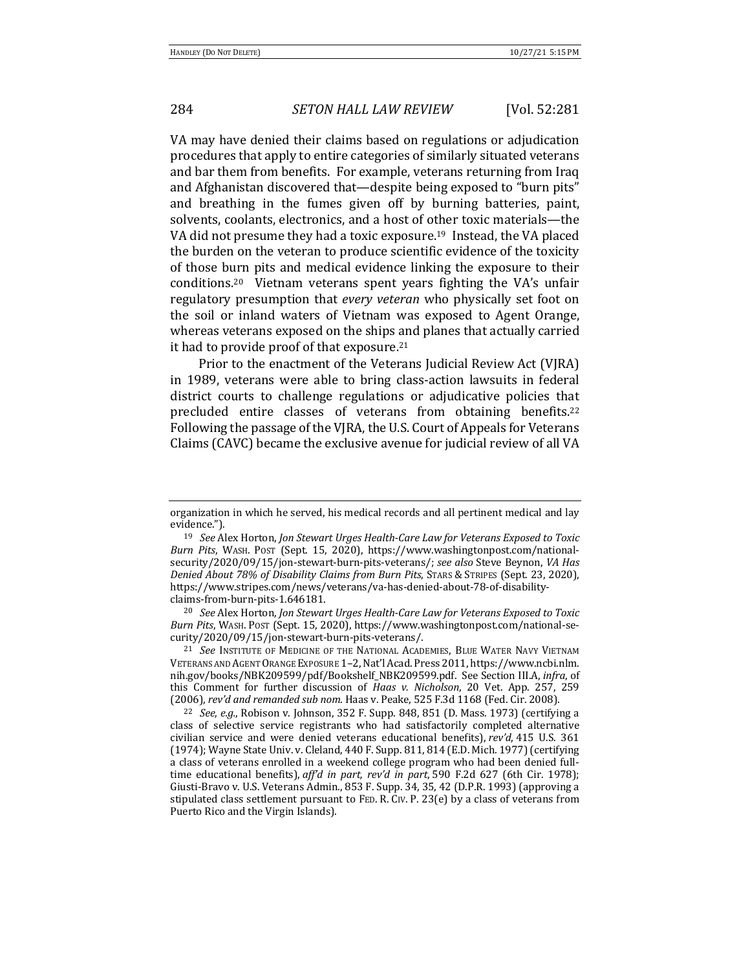VA may have denied their claims based on regulations or adjudication procedures that apply to entire categories of similarly situated veterans and bar them from benefits. For example, veterans returning from Iraq and Afghanistan discovered that-despite being exposed to "burn pits" and breathing in the fumes given off by burning batteries, paint, solvents, coolants, electronics, and a host of other toxic materials—the VA did not presume they had a toxic exposure.<sup>19</sup> Instead, the VA placed the burden on the veteran to produce scientific evidence of the toxicity of those burn pits and medical evidence linking the exposure to their conditions.<sup>20</sup> Vietnam veterans spent years fighting the VA's unfair regulatory presumption that *every veteran* who physically set foot on the soil or inland waters of Vietnam was exposed to Agent Orange, whereas veterans exposed on the ships and planes that actually carried it had to provide proof of that exposure.<sup>21</sup>

Prior to the enactment of the Veterans Judicial Review Act (VJRA) in 1989, veterans were able to bring class-action lawsuits in federal district courts to challenge regulations or adjudicative policies that precluded entire classes of veterans from obtaining benefits.<sup>22</sup> Following the passage of the VJRA, the U.S. Court of Appeals for Veterans Claims (CAVC) became the exclusive avenue for judicial review of all VA

<sup>20</sup> See Alex Horton, Jon Stewart Urges Health-Care Law for Veterans Exposed to Toxic *Burn Pits*, WASH. POST (Sept. 15, 2020), https://www.washingtonpost.com/national-security/2020/09/15/jon-stewart-burn-pits-veterans/.

<sup>21</sup> See INSTITUTE OF MEDICINE OF THE NATIONAL ACADEMIES, BLUE WATER NAVY VIETNAM VETERANS AND AGENT ORANGE EXPOSURE 1-2, Nat'l Acad. Press 2011, https://www.ncbi.nlm. nih.gov/books/NBK209599/pdf/Bookshelf\_NBK209599.pdf. See Section III.A, *infra*, of this Comment for further discussion of *Haas v. Nicholson*, 20 Vet. App. 257, 259 (2006), rev'd and remanded sub nom. Haas v. Peake, 525 F.3d 1168 (Fed. Cir. 2008).

<sup>22</sup> *See, e.g.,* Robison v. Johnson, 352 F. Supp. 848, 851 (D. Mass. 1973) (certifying a class of selective service registrants who had satisfactorily completed alternative civilian service and were denied veterans educational benefits), *rev'd*, 415 U.S. 361 (1974); Wayne State Univ. v. Cleland, 440 F. Supp. 811, 814 (E.D. Mich. 1977) (certifying a class of veterans enrolled in a weekend college program who had been denied fulltime educational benefits), aff'd in part, rev'd in part, 590 F.2d 627 (6th Cir. 1978); Giusti-Bravo v. U.S. Veterans Admin., 853 F. Supp. 34, 35, 42 (D.P.R. 1993) (approving a stipulated class settlement pursuant to FED. R. CIV. P. 23(e) by a class of veterans from Puerto Rico and the Virgin Islands).

organization in which he served, his medical records and all pertinent medical and lay evidence.").

<sup>&</sup>lt;sup>19</sup> See Alex Horton, Jon Stewart Urges Health-Care Law for Veterans Exposed to Toxic Burn Pits, WASH. Post (Sept. 15, 2020), https://www.washingtonpost.com/nationalsecurity/2020/09/15/jon-stewart-burn-pits-veterans/; see also Steve Beynon, *VA Has Denied About 78% of Disability Claims from Burn Pits, STARS & STRIPES (Sept. 23, 2020),* https://www.stripes.com/news/veterans/va-has-denied-about-78-of-disabilityclaims-from-burn-pits-1.646181.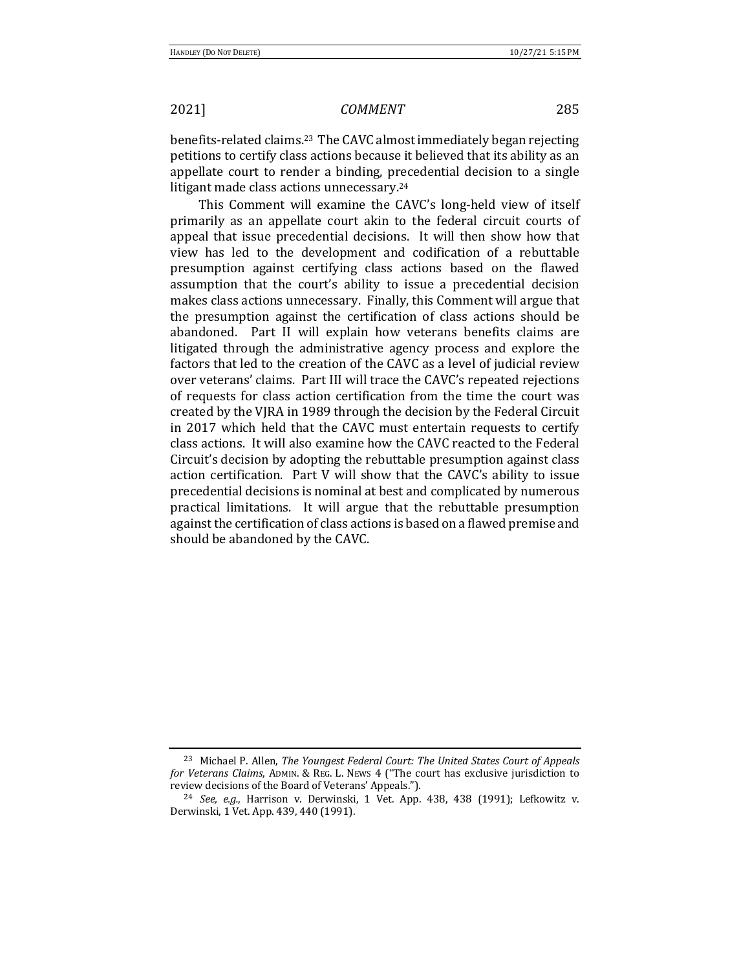benefits-related claims.<sup>23</sup> The CAVC almost immediately began rejecting petitions to certify class actions because it believed that its ability as an appellate court to render a binding, precedential decision to a single litigant made class actions unnecessary.<sup>24</sup>

This Comment will examine the CAVC's long-held view of itself primarily as an appellate court akin to the federal circuit courts of appeal that issue precedential decisions. It will then show how that view has led to the development and codification of a rebuttable presumption against certifying class actions based on the flawed assumption that the court's ability to issue a precedential decision makes class actions unnecessary. Finally, this Comment will argue that the presumption against the certification of class actions should be abandoned. Part II will explain how veterans benefits claims are litigated through the administrative agency process and explore the factors that led to the creation of the CAVC as a level of judicial review over veterans' claims. Part III will trace the CAVC's repeated rejections of requests for class action certification from the time the court was created by the VJRA in 1989 through the decision by the Federal Circuit in 2017 which held that the CAVC must entertain requests to certify class actions. It will also examine how the CAVC reacted to the Federal Circuit's decision by adopting the rebuttable presumption against class action certification. Part V will show that the CAVC's ability to issue precedential decisions is nominal at best and complicated by numerous practical limitations. It will argue that the rebuttable presumption against the certification of class actions is based on a flawed premise and should be abandoned by the CAVC.

<sup>&</sup>lt;sup>23</sup> Michael P. Allen, *The Youngest Federal Court: The United States Court of Appeals for Veterans Claims*, ADMIN. & REG. L. NEWS 4 ("The court has exclusive jurisdiction to review decisions of the Board of Veterans' Appeals.").

 $24$  *See, e.g.*, Harrison v. Derwinski, 1 Vet. App. 438, 438 (1991); Lefkowitz v. Derwinski, 1 Vet. App. 439, 440 (1991).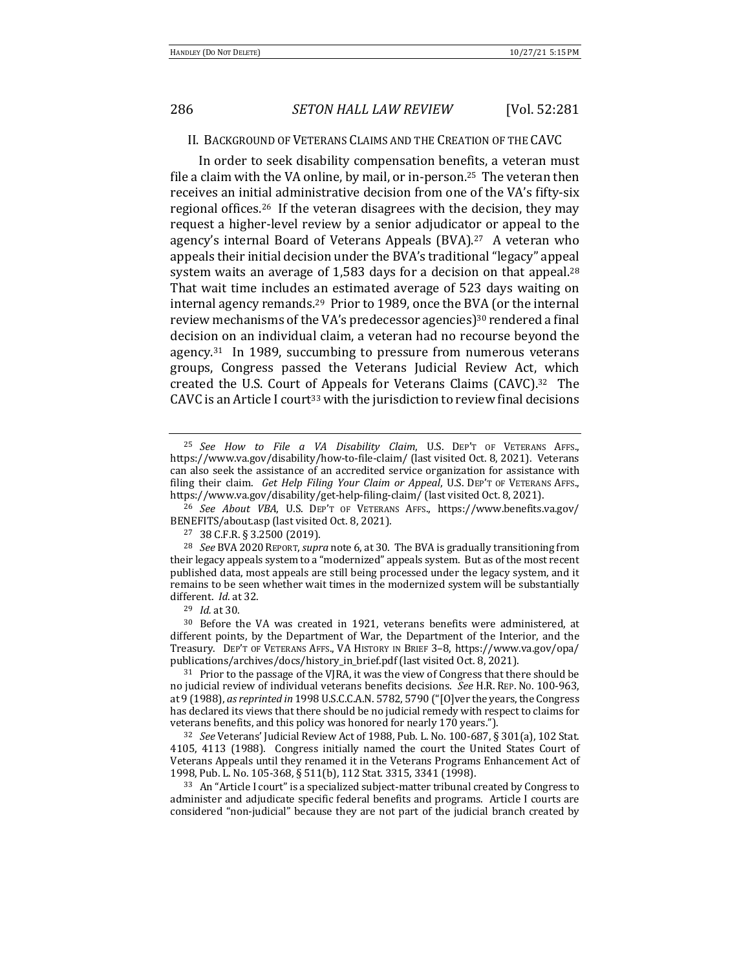### II. BACKGROUND OF VETERANS CLAIMS AND THE CREATION OF THE CAVC

In order to seek disability compensation benefits, a veteran must file a claim with the VA online, by mail, or in-person.<sup>25</sup> The veteran then receives an initial administrative decision from one of the VA's fifty-six regional offices.<sup>26</sup> If the veteran disagrees with the decision, they may request a higher-level review by a senior adjudicator or appeal to the agency's internal Board of Veterans Appeals  $(BVA)$ .<sup>27</sup> A veteran who appeals their initial decision under the BVA's traditional "legacy" appeal system waits an average of 1,583 days for a decision on that appeal.<sup>28</sup> That wait time includes an estimated average of 523 days waiting on internal agency remands.<sup>29</sup> Prior to 1989, once the BVA (or the internal review mechanisms of the VA's predecessor agencies)<sup>30</sup> rendered a final decision on an individual claim, a veteran had no recourse beyond the agency. $31$  In 1989, succumbing to pressure from numerous veterans groups, Congress passed the Veterans Judicial Review Act, which created the U.S. Court of Appeals for Veterans Claims  $(CAVC).<sup>32</sup>$  The CAVC is an Article I court<sup>33</sup> with the jurisdiction to review final decisions

<sup>26</sup> *See About VBA*, U.S. DEP'T OF VETERANS AFFS., https://www.benefits.va.gov/ BENEFITS/about.asp (last visited Oct. 8, 2021).

<sup>32</sup> *See* Veterans' Judicial Review Act of 1988, Pub. L. No. 100-687, § 301(a), 102 Stat. 4105, 4113 (1988). Congress initially named the court the United States Court of Veterans Appeals until they renamed it in the Veterans Programs Enhancement Act of 1998, Pub. L. No. 105-368, § 511(b), 112 Stat. 3315, 3341 (1998).

33 An "Article I court" is a specialized subject-matter tribunal created by Congress to administer and adjudicate specific federal benefits and programs. Article I courts are considered "non-judicial" because they are not part of the judicial branch created by

<sup>25</sup> *See How to File a VA Disability Claim*, U.S. DEP'T OF VETERANS AFFS., https://www.va.gov/disability/how-to-file-claim/ (last visited Oct. 8, 2021). Veterans can also seek the assistance of an accredited service organization for assistance with filing their claim. *Get Help Filing Your Claim or Appeal*, U.S. DEP'T OF VETERANS AFFS., https://www.va.gov/disability/get-help-filing-claim/ (last visited Oct. 8, 2021).

<sup>27</sup> 38 C.F.R. § 3.2500 (2019).

<sup>&</sup>lt;sup>28</sup> *See* BVA 2020 REPORT, *supra* note 6, at 30. The BVA is gradually transitioning from their legacy appeals system to a "modernized" appeals system. But as of the most recent published data, most appeals are still being processed under the legacy system, and it remains to be seen whether wait times in the modernized system will be substantially different. *Id.* at 32.

<sup>29</sup> *Id.* at 30.

 $30$  Before the VA was created in 1921, veterans benefits were administered, at different points, by the Department of War, the Department of the Interior, and the Treasury. DEP'T OF VETERANS AFFS., VA HISTORY IN BRIEF 3-8, https://www.va.gov/opa/ publications/archives/docs/history\_in\_brief.pdf (last visited Oct. 8, 2021).

<sup>&</sup>lt;sup>31</sup> Prior to the passage of the VJRA, it was the view of Congress that there should be no judicial review of individual veterans benefits decisions. *See* H.R. REP. No. 100-963, at 9 (1988), as reprinted in 1998 U.S.C.C.A.N. 5782, 5790 ("[O]ver the years, the Congress has declared its views that there should be no judicial remedy with respect to claims for veterans benefits, and this policy was honored for nearly 170 years.").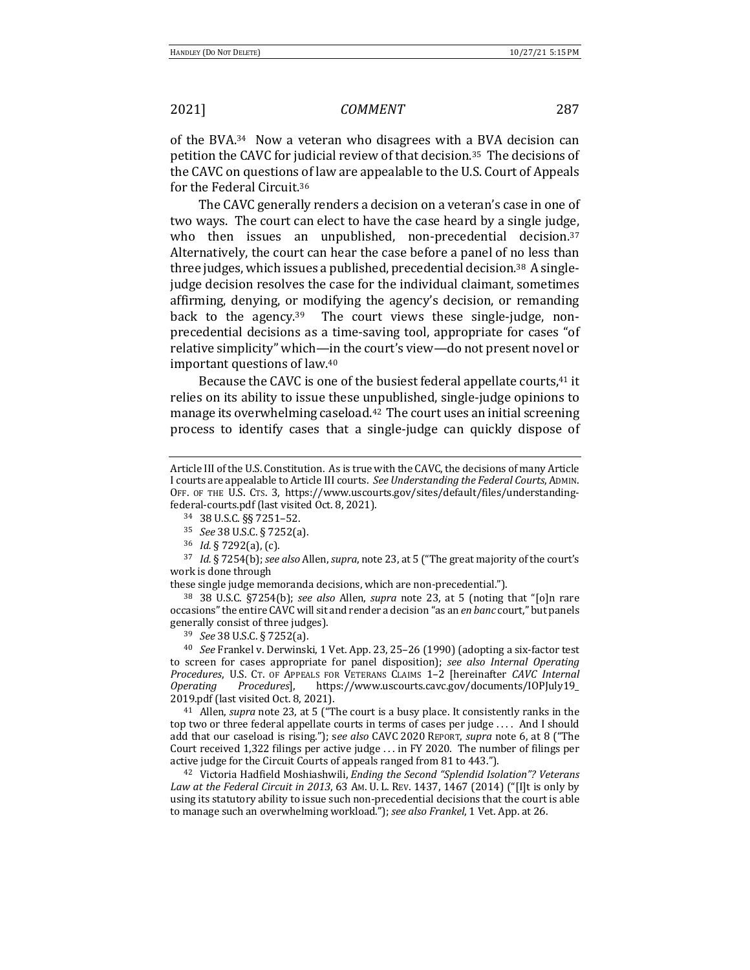of the BVA. $34$  Now a veteran who disagrees with a BVA decision can petition the CAVC for judicial review of that decision.<sup>35</sup> The decisions of the CAVC on questions of law are appealable to the U.S. Court of Appeals for the Federal Circuit.<sup>36</sup>

The CAVC generally renders a decision on a veteran's case in one of two ways. The court can elect to have the case heard by a single judge, who then issues an unpublished, non-precedential decision.<sup>37</sup> Alternatively, the court can hear the case before a panel of no less than three judges, which issues a published, precedential decision.<sup>38</sup> A singlejudge decision resolves the case for the individual claimant, sometimes affirming, denying, or modifying the agency's decision, or remanding back to the agency.<sup>39</sup> The court views these single-judge, nonprecedential decisions as a time-saving tool, appropriate for cases "of relative simplicity" which—in the court's view—do not present novel or important questions of law.<sup>40</sup>

Because the CAVC is one of the busiest federal appellate courts,<sup>41</sup> it relies on its ability to issue these unpublished, single-judge opinions to manage its overwhelming caseload. $42$  The court uses an initial screening process to identify cases that a single-judge can quickly dispose of

36 *Id.* § 7292(a), (c).

<sup>37</sup> *Id.* § 7254(b); *see also* Allen, *supra*, note 23, at 5 ("The great majority of the court's work is done through

these single judge memoranda decisions, which are non-precedential.").

<sup>38</sup> 38 U.S.C. §7254(b); *see also* Allen, *supra* note 23, at 5 (noting that "[o]n rare occasions" the entire CAVC will sit and render a decision "as an *en banc* court," but panels generally consist of three judges).

<sup>39</sup> *See* 38 U.S.C. § 7252(a).

<sup>40</sup> *See* Frankel v. Derwinski, 1 Vet. App. 23, 25–26 (1990) (adopting a six-factor test to screen for cases appropriate for panel disposition); see also Internal Operating Procedures, U.S. CT. OF APPEALS FOR VETERANS CLAIMS 1-2 [hereinafter *CAVC Internal Operating Procedures*], https://www.uscourts.cavc.gov/documents/IOPJuly19\_ 2019.pdf (last visited Oct. 8, 2021).

<sup>41</sup> Allen, *supra* note 23, at 5 ("The court is a busy place. It consistently ranks in the top two or three federal appellate courts in terms of cases per judge  $\dots$ . And I should add that our caseload is rising."); see also CAVC 2020 REPORT, *supra* note 6, at 8 ("The Court received  $1,322$  filings per active judge ... in FY 2020. The number of filings per active judge for the Circuit Courts of appeals ranged from 81 to 443.").

<sup>42</sup> Victoria Hadfield Moshiashwili, *Ending the Second "Splendid Isolation"? Veterans* Law at the Federal Circuit in 2013, 63 Am. U. L. REV. 1437, 1467 (2014) ("[I]t is only by using its statutory ability to issue such non-precedential decisions that the court is able to manage such an overwhelming workload."); see also *Frankel*, 1 Vet. App. at 26.

Article III of the U.S. Constitution. As is true with the CAVC, the decisions of many Article I courts are appealable to Article III courts. See *Understanding the Federal Courts*, ADMIN. OFF. OF THE U.S. CTS. 3, https://www.uscourts.gov/sites/default/files/understandingfederal-courts.pdf (last visited Oct. 8, 2021).

<sup>34 38</sup> U.S.C. §§ 7251-52.

<sup>35</sup> *See* 38 U.S.C. § 7252(a).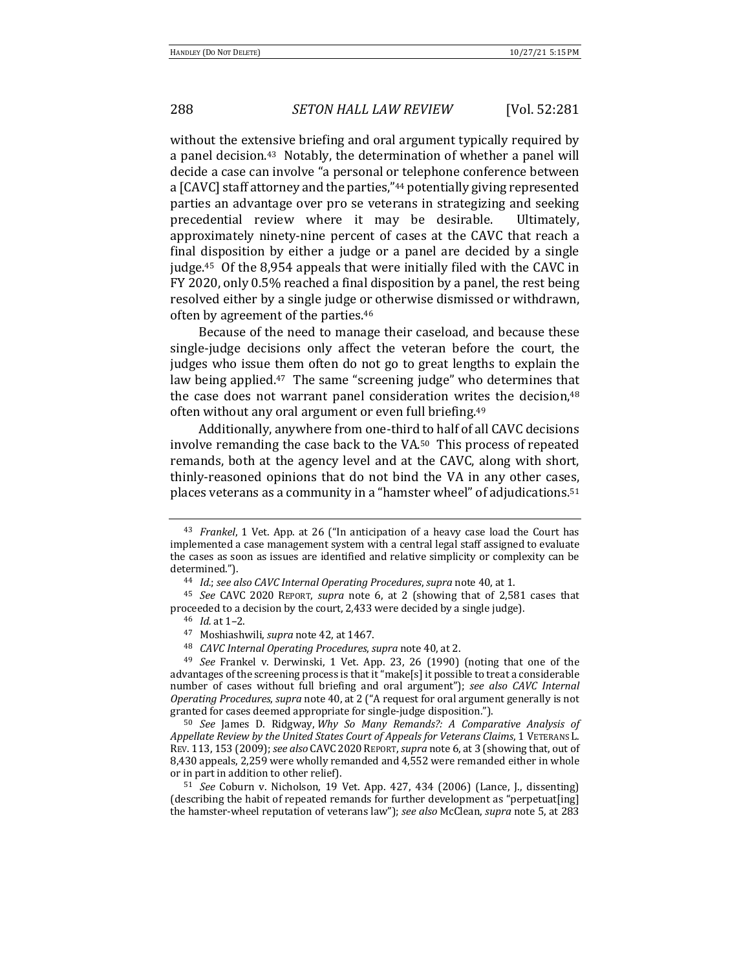without the extensive briefing and oral argument typically required by a panel decision.<sup>43</sup> Notably, the determination of whether a panel will decide a case can involve "a personal or telephone conference between a [CAVC] staff attorney and the parties,"<sup>44</sup> potentially giving represented parties an advantage over pro se veterans in strategizing and seeking precedential review where it may be desirable. Ultimately, approximately ninety-nine percent of cases at the CAVC that reach a final disposition by either a judge or a panel are decided by a single judge.<sup>45</sup> Of the 8,954 appeals that were initially filed with the CAVC in FY 2020, only 0.5% reached a final disposition by a panel, the rest being resolved either by a single judge or otherwise dismissed or withdrawn, often by agreement of the parties.<sup>46</sup>

Because of the need to manage their caseload, and because these single-judge decisions only affect the veteran before the court, the judges who issue them often do not go to great lengths to explain the law being applied. $47$  The same "screening judge" who determines that the case does not warrant panel consideration writes the decision, $48$ often without any oral argument or even full briefing.<sup>49</sup>

Additionally, anywhere from one-third to half of all CAVC decisions involve remanding the case back to the VA.<sup>50</sup> This process of repeated remands, both at the agency level and at the CAVC, along with short, thinly-reasoned opinions that do not bind the VA in any other cases, places veterans as a community in a "hamster wheel" of adjudications.<sup>51</sup>

<sup>&</sup>lt;sup>43</sup> *Frankel*, 1 Vet. App. at 26 ("In anticipation of a heavy case load the Court has implemented a case management system with a central legal staff assigned to evaluate the cases as soon as issues are identified and relative simplicity or complexity can be determined.").

<sup>&</sup>lt;sup>44</sup> *Id.*; see also CAVC Internal Operating Procedures, supra note 40, at 1.

<sup>&</sup>lt;sup>45</sup> *See* CAVC 2020 REPORT, *supra* note 6, at 2 (showing that of 2,581 cases that proceeded to a decision by the court, 2,433 were decided by a single judge).

<sup>46</sup> *Id.* at 1-2.

<sup>&</sup>lt;sup>47</sup> Moshiashwili, *supra* note 42, at 1467.

<sup>&</sup>lt;sup>48</sup> *CAVC Internal Operating Procedures, supra* note 40, at 2.

<sup>&</sup>lt;sup>49</sup> See Frankel v. Derwinski, 1 Vet. App. 23, 26 (1990) (noting that one of the advantages of the screening process is that it "make[s] it possible to treat a considerable number of cases without full briefing and oral argument"); see also CAVC Internal *Operating Procedures, supra* note 40, at 2 ("A request for oral argument generally is not granted for cases deemed appropriate for single-judge disposition.").

<sup>&</sup>lt;sup>50</sup> See James D. Ridgway, *Why So Many Remands?: A Comparative Analysis of* Appellate Review by the United States Court of Appeals for Veterans Claims, 1 VETERANS L. REV. 113, 153 (2009); see also CAVC 2020 REPORT, *supra* note 6, at 3 (showing that, out of 8,430 appeals, 2,259 were wholly remanded and 4,552 were remanded either in whole or in part in addition to other relief).

<sup>&</sup>lt;sup>51</sup> *See* Coburn v. Nicholson, 19 Vet. App. 427, 434 (2006) (Lance, J., dissenting) (describing the habit of repeated remands for further development as "perpetuat[ing] the hamster-wheel reputation of veterans law"); *see also* McClean, *supra* note 5, at 283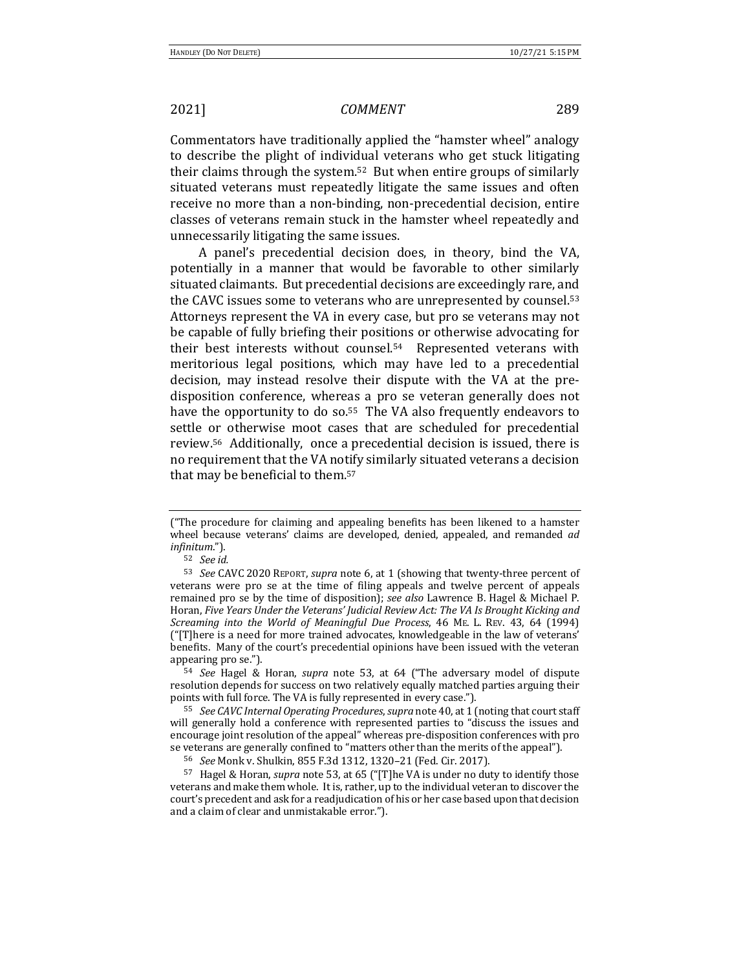Commentators have traditionally applied the "hamster wheel" analogy to describe the plight of individual veterans who get stuck litigating their claims through the system.<sup>52</sup> But when entire groups of similarly situated veterans must repeatedly litigate the same issues and often receive no more than a non-binding, non-precedential decision, entire classes of veterans remain stuck in the hamster wheel repeatedly and unnecessarily litigating the same issues.

A panel's precedential decision does, in theory, bind the VA, potentially in a manner that would be favorable to other similarly situated claimants. But precedential decisions are exceedingly rare, and the CAVC issues some to veterans who are unrepresented by counsel.<sup>53</sup> Attorneys represent the VA in every case, but pro se veterans may not be capable of fully briefing their positions or otherwise advocating for their best interests without counsel. $54$  Represented veterans with meritorious legal positions, which may have led to a precedential decision, may instead resolve their dispute with the VA at the predisposition conference, whereas a pro se veteran generally does not have the opportunity to do so.<sup>55</sup> The VA also frequently endeavors to settle or otherwise moot cases that are scheduled for precedential review.<sup>56</sup> Additionally, once a precedential decision is issued, there is no requirement that the VA notify similarly situated veterans a decision that may be beneficial to them. $57$ 

<sup>54</sup> *See* Hagel & Horan, *supra* note 53, at 64 ("The adversary model of dispute resolution depends for success on two relatively equally matched parties arguing their points with full force. The VA is fully represented in every case.").

56 *See* Monk v. Shulkin, 855 F.3d 1312, 1320-21 (Fed. Cir. 2017).

<sup>57</sup> Hagel & Horan, *supra* note 53, at 65 ("[T]he VA is under no duty to identify those veterans and make them whole. It is, rather, up to the individual veteran to discover the court's precedent and ask for a readjudication of his or her case based upon that decision and a claim of clear and unmistakable error.").

<sup>(&</sup>quot;The procedure for claiming and appealing benefits has been likened to a hamster wheel because veterans' claims are developed, denied, appealed, and remanded *ad infinitum*.").

<sup>52</sup> *See id.*

<sup>53</sup> *See* CAVC 2020 REPORT, *supra* note 6, at 1 (showing that twenty-three percent of veterans were pro se at the time of filing appeals and twelve percent of appeals remained pro se by the time of disposition); see also Lawrence B. Hagel & Michael P. Horan, *Five Years Under the Veterans' Judicial Review Act: The VA Is Brought Kicking and Screaming into the World of Meaningful Due Process*, 46 ME. L. REV. 43, 64 (1994) ("[T]here is a need for more trained advocates, knowledgeable in the law of veterans' benefits. Many of the court's precedential opinions have been issued with the veteran appearing pro se.").

<sup>55</sup> *See CAVC Internal Operating Procedures, supra* note 40, at 1 (noting that court staff will generally hold a conference with represented parties to "discuss the issues and encourage joint resolution of the appeal" whereas pre-disposition conferences with pro se veterans are generally confined to "matters other than the merits of the appeal").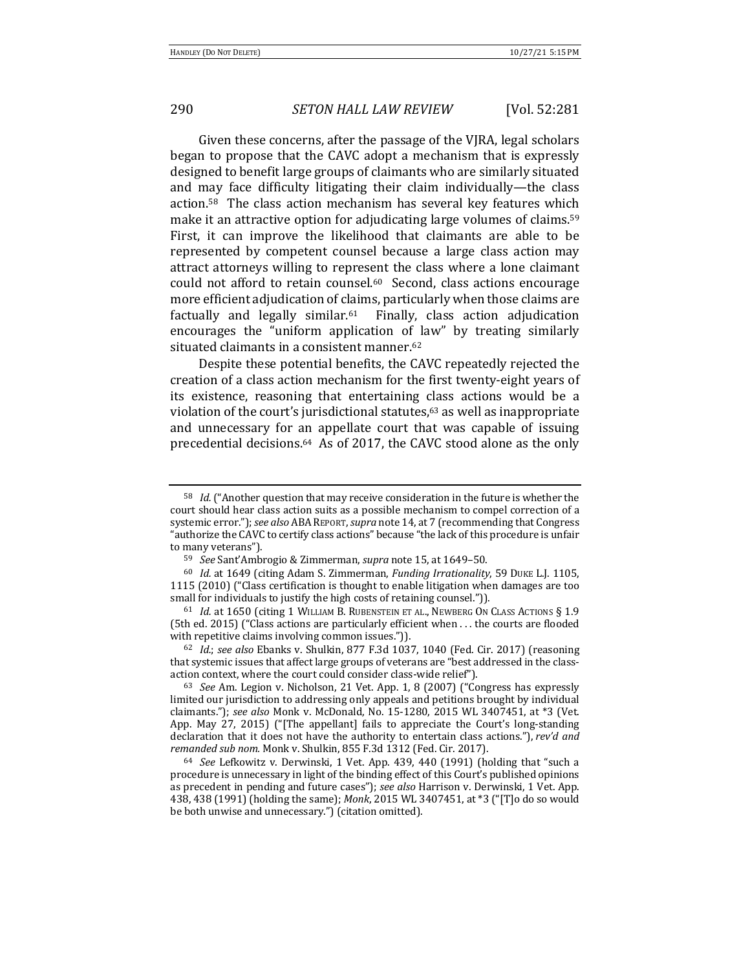Given these concerns, after the passage of the VJRA, legal scholars began to propose that the CAVC adopt a mechanism that is expressly designed to benefit large groups of claimants who are similarly situated and may face difficulty litigating their claim individually—the class action.<sup>58</sup> The class action mechanism has several key features which make it an attractive option for adjudicating large volumes of claims.<sup>59</sup> First, it can improve the likelihood that claimants are able to be represented by competent counsel because a large class action may attract attorneys willing to represent the class where a lone claimant could not afford to retain counsel.<sup>60</sup> Second, class actions encourage more efficient adjudication of claims, particularly when those claims are factually and legally similar. $61$  Finally, class action adjudication encourages the "uniform application of law" by treating similarly situated claimants in a consistent manner.<sup>62</sup>

Despite these potential benefits, the CAVC repeatedly rejected the creation of a class action mechanism for the first twenty-eight years of its existence, reasoning that entertaining class actions would be a violation of the court's jurisdictional statutes, $63$  as well as inappropriate and unnecessary for an appellate court that was capable of issuing precedential decisions.<sup>64</sup> As of 2017, the CAVC stood alone as the only

<sup>&</sup>lt;sup>58</sup> *Id.* ("Another question that may receive consideration in the future is whether the court should hear class action suits as a possible mechanism to compel correction of a systemic error."); *see also* ABA REPORT, *supra* note 14, at 7 (recommending that Congress "authorize the CAVC to certify class actions" because "the lack of this procedure is unfair to many veterans").

<sup>59</sup> *See* Sant'Ambrogio & Zimmerman, *supra* note 15, at 1649-50.

<sup>&</sup>lt;sup>60</sup> *Id.* at 1649 (citing Adam S. Zimmerman, *Funding Irrationality*, 59 DUKE L.J. 1105, 1115 (2010) ("Class certification is thought to enable litigation when damages are too small for individuals to justify the high costs of retaining counsel.")).

<sup>&</sup>lt;sup>61</sup> *Id.* at 1650 (citing 1 WILLIAM B. RUBENSTEIN ET AL., NEWBERG ON CLASS ACTIONS § 1.9 (5th ed. 2015) ("Class actions are particularly efficient when  $\dots$  the courts are flooded with repetitive claims involving common issues.")).

<sup>62</sup> *Id.*; *see also* Ebanks v. Shulkin, 877 F.3d 1037, 1040 (Fed. Cir. 2017) (reasoning that systemic issues that affect large groups of veterans are "best addressed in the classaction context, where the court could consider class-wide relief").

<sup>&</sup>lt;sup>63</sup> See Am. Legion v. Nicholson, 21 Vet. App. 1, 8 (2007) ("Congress has expressly limited our jurisdiction to addressing only appeals and petitions brought by individual claimants."); see also Monk v. McDonald, No. 15-1280, 2015 WL 3407451, at \*3 (Vet. App. May 27, 2015) ("[The appellant] fails to appreciate the Court's long-standing declaration that it does not have the authority to entertain class actions."), *rev'd and* remanded sub nom. Monk v. Shulkin, 855 F.3d 1312 (Fed. Cir. 2017).

<sup>&</sup>lt;sup>64</sup> See Lefkowitz v. Derwinski, 1 Vet. App. 439, 440 (1991) (holding that "such a procedure is unnecessary in light of the binding effect of this Court's published opinions as precedent in pending and future cases"); see also Harrison v. Derwinski, 1 Vet. App. 438, 438 (1991) (holding the same); *Monk*, 2015 WL 3407451, at \*3 ("[T]o do so would be both unwise and unnecessary.") (citation omitted).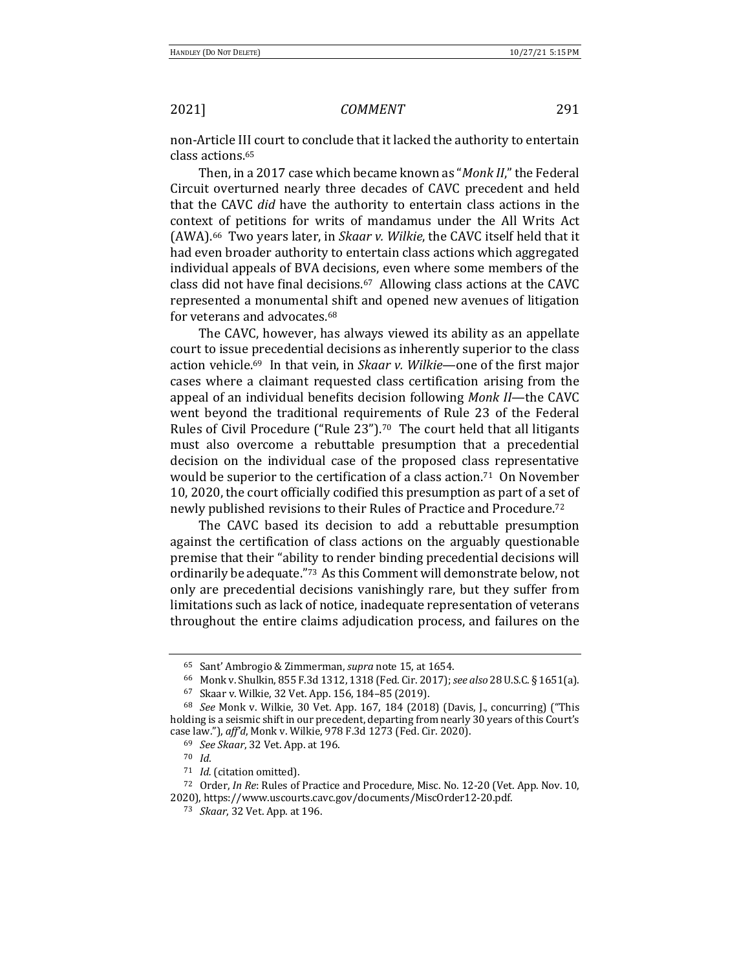non-Article III court to conclude that it lacked the authority to entertain class actions.65

Then, in a 2017 case which became known as "*Monk II*," the Federal Circuit overturned nearly three decades of CAVC precedent and held that the CAVC *did* have the authority to entertain class actions in the context of petitions for writs of mandamus under the All Writs Act (AWA).<sup>66</sup> Two years later, in *Skaar v. Wilkie*, the CAVC itself held that it had even broader authority to entertain class actions which aggregated individual appeals of BVA decisions, even where some members of the class did not have final decisions.<sup>67</sup> Allowing class actions at the CAVC represented a monumental shift and opened new avenues of litigation for veterans and advocates.<sup>68</sup>

The CAVC, however, has always viewed its ability as an appellate court to issue precedential decisions as inherently superior to the class action vehicle.<sup>69</sup> In that vein, in *Skaar v. Wilkie*—one of the first major cases where a claimant requested class certification arising from the appeal of an individual benefits decision following *Monk II*—the CAVC went beyond the traditional requirements of Rule 23 of the Federal Rules of Civil Procedure ("Rule  $23$ ").<sup>70</sup> The court held that all litigants must also overcome a rebuttable presumption that a precedential decision on the individual case of the proposed class representative would be superior to the certification of a class action.<sup>71</sup> On November 10, 2020, the court officially codified this presumption as part of a set of newly published revisions to their Rules of Practice and Procedure.<sup>72</sup>

The CAVC based its decision to add a rebuttable presumption against the certification of class actions on the arguably questionable premise that their "ability to render binding precedential decisions will ordinarily be adequate."<sup>73</sup> As this Comment will demonstrate below, not only are precedential decisions vanishingly rare, but they suffer from limitations such as lack of notice, inadequate representation of veterans throughout the entire claims adjudication process, and failures on the

<sup>65</sup> Sant' Ambrogio & Zimmerman, *supra* note 15, at 1654.

<sup>66</sup> Monk v. Shulkin, 855 F.3d 1312, 1318 (Fed. Cir. 2017); see also 28 U.S.C. § 1651(a).

<sup>67</sup> Skaar v. Wilkie, 32 Vet. App. 156, 184-85 (2019).

<sup>&</sup>lt;sup>68</sup> See Monk v. Wilkie, 30 Vet. App. 167, 184 (2018) (Davis, J., concurring) ("This holding is a seismic shift in our precedent, departing from nearly 30 years of this Court's case law."), aff'd, Monk v. Wilkie, 978 F.3d 1273 (Fed. Cir. 2020).

<sup>69</sup> *See Skaar*, 32 Vet. App. at 196.

<sup>70</sup> *Id*.

<sup>&</sup>lt;sup>71</sup> *Id.* (citation omitted).

<sup>&</sup>lt;sup>72</sup> Order, *In Re*: Rules of Practice and Procedure, Misc. No. 12-20 (Vet. App. Nov. 10, 2020), https://www.uscourts.cavc.gov/documents/MiscOrder12-20.pdf.

<sup>73</sup> *Skaar*, 32 Vet. App. at 196.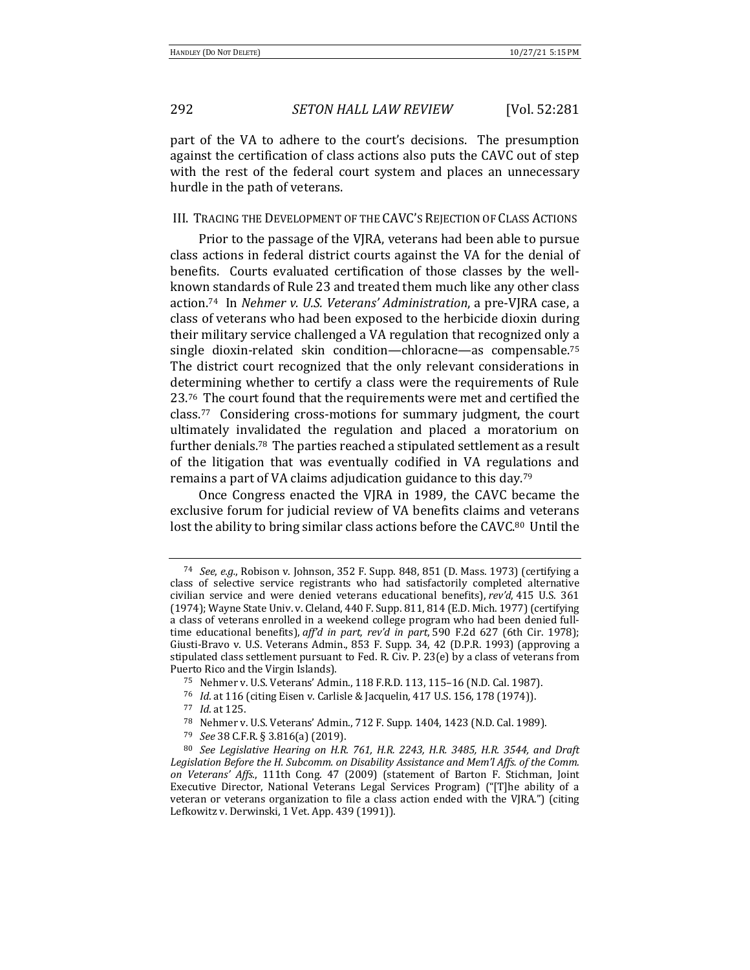## 292 *SETON HALL LAW REVIEW* [Vol. 52:281

part of the VA to adhere to the court's decisions. The presumption against the certification of class actions also puts the CAVC out of step with the rest of the federal court system and places an unnecessary hurdle in the path of veterans.

### III. TRACING THE DEVELOPMENT OF THE CAVC'S REJECTION OF CLASS ACTIONS

Prior to the passage of the VJRA, veterans had been able to pursue class actions in federal district courts against the VA for the denial of benefits. Courts evaluated certification of those classes by the wellknown standards of Rule 23 and treated them much like any other class action.<sup>74</sup> In *Nehmer v. U.S. Veterans' Administration*, a pre-VJRA case, a class of veterans who had been exposed to the herbicide dioxin during their military service challenged a VA regulation that recognized only a single dioxin-related skin condition—chloracne—as compensable.<sup>75</sup> The district court recognized that the only relevant considerations in determining whether to certify a class were the requirements of Rule 23.<sup>76</sup> The court found that the requirements were met and certified the class.<sup>77</sup> Considering cross-motions for summary judgment, the court ultimately invalidated the regulation and placed a moratorium on further denials.<sup>78</sup> The parties reached a stipulated settlement as a result of the litigation that was eventually codified in VA regulations and remains a part of VA claims adjudication guidance to this day.<sup>79</sup>

Once Congress enacted the VJRA in 1989, the CAVC became the exclusive forum for judicial review of VA benefits claims and veterans lost the ability to bring similar class actions before the CAVC.<sup>80</sup> Until the

<sup>79</sup> *See* 38 C.F.R. § 3.816(a) (2019).

<sup>74</sup> *See, e.g.*, Robison v. Johnson, 352 F. Supp. 848, 851 (D. Mass. 1973) (certifying a class of selective service registrants who had satisfactorily completed alternative civilian service and were denied veterans educational benefits), *rev'd*, 415 U.S. 361 (1974); Wayne State Univ. v. Cleland,  $440$  F. Supp. 811, 814 (E.D. Mich. 1977) (certifying a class of veterans enrolled in a weekend college program who had been denied fulltime educational benefits), aff'd in part, rev'd in part, 590 F.2d 627 (6th Cir. 1978); Giusti-Bravo v. U.S. Veterans Admin., 853 F. Supp. 34, 42 (D.P.R. 1993) (approving a stipulated class settlement pursuant to Fed. R. Civ. P. 23(e) by a class of veterans from Puerto Rico and the Virgin Islands).

<sup>75</sup> Nehmer v. U.S. Veterans' Admin., 118 F.R.D. 113, 115-16 (N.D. Cal. 1987).

<sup>76</sup> *Id.* at 116 (citing Eisen v. Carlisle & Jacquelin, 417 U.S. 156, 178 (1974)).

<sup>77</sup> *Id.* at 125.

<sup>78</sup> Nehmer v. U.S. Veterans' Admin., 712 F. Supp. 1404, 1423 (N.D. Cal. 1989).

<sup>&</sup>lt;sup>80</sup> See Legislative Hearing on H.R. 761, H.R. 2243, H.R. 3485, H.R. 3544, and Draft Legislation Before the H. Subcomm. on Disability Assistance and Mem'l Affs. of the Comm. *on Veterans' Affs.*, 111th Cong. 47 (2009) (statement of Barton F. Stichman, Joint Executive Director, National Veterans Legal Services Program) ("[T]he ability of a veteran or veterans organization to file a class action ended with the  $V/RA$ .") (citing Lefkowitz v. Derwinski, 1 Vet. App. 439 (1991)).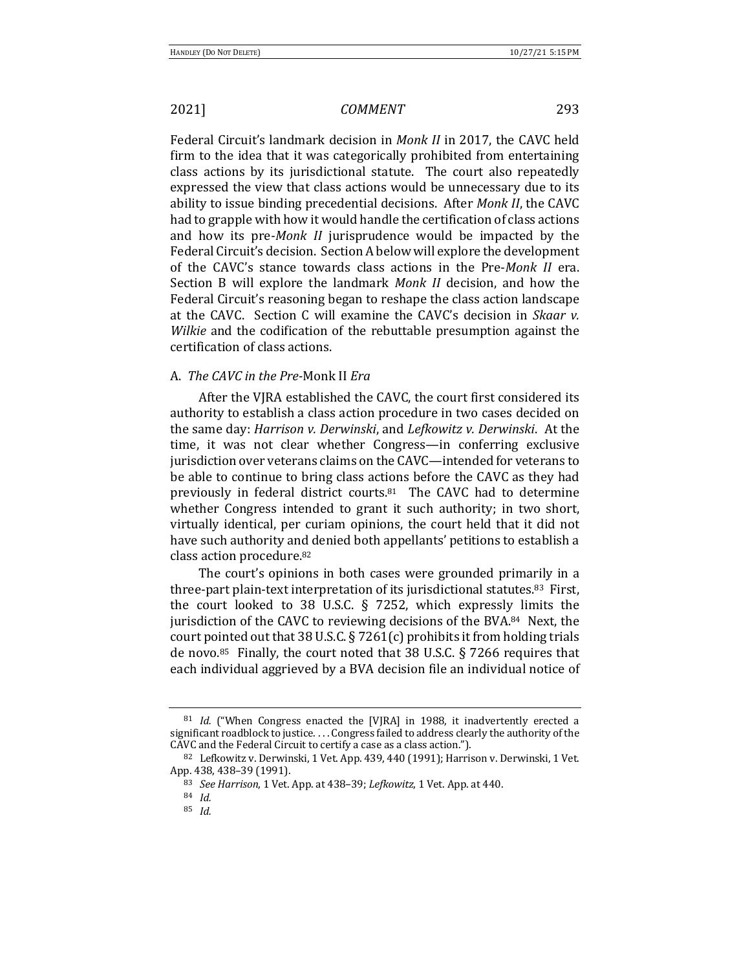Federal Circuit's landmark decision in *Monk II* in 2017, the CAVC held firm to the idea that it was categorically prohibited from entertaining class actions by its jurisdictional statute. The court also repeatedly expressed the view that class actions would be unnecessary due to its ability to issue binding precedential decisions. After *Monk II*, the CAVC had to grapple with how it would handle the certification of class actions and how its pre-*Monk II* jurisprudence would be impacted by the Federal Circuit's decision. Section A below will explore the development of the CAVC's stance towards class actions in the Pre-*Monk II* era. Section B will explore the landmark *Monk II* decision, and how the Federal Circuit's reasoning began to reshape the class action landscape at the CAVC. Section C will examine the CAVC's decision in *Skaar v. Wilkie* and the codification of the rebuttable presumption against the certification of class actions.

## A. *The CAVC in the Pre-*Monk II *Era*

After the VJRA established the CAVC, the court first considered its authority to establish a class action procedure in two cases decided on the same day: *Harrison v. Derwinski*, and *Lefkowitz v. Derwinski*. At the time, it was not clear whether Congress—in conferring exclusive jurisdiction over veterans claims on the CAVC—intended for veterans to be able to continue to bring class actions before the CAVC as they had previously in federal district courts. $81$  The CAVC had to determine whether Congress intended to grant it such authority; in two short, virtually identical, per curiam opinions, the court held that it did not have such authority and denied both appellants' petitions to establish a class action procedure.<sup>82</sup>

The court's opinions in both cases were grounded primarily in a three-part plain-text interpretation of its jurisdictional statutes.<sup>83</sup> First, the court looked to 38 U.S.C. § 7252, which expressly limits the jurisdiction of the CAVC to reviewing decisions of the BVA. $84$  Next, the court pointed out that 38 U.S.C.  $\S$  7261(c) prohibits it from holding trials de novo.<sup>85</sup> Finally, the court noted that 38 U.S.C. § 7266 requires that each individual aggrieved by a BVA decision file an individual notice of

<sup>&</sup>lt;sup>81</sup> *Id.* ("When Congress enacted the [VJRA] in 1988, it inadvertently erected a significant roadblock to justice. . . . Congress failed to address clearly the authority of the CAVC and the Federal Circuit to certify a case as a class action.").

 $82$  Lefkowitz v. Derwinski, 1 Vet. App. 439, 440 (1991); Harrison v. Derwinski, 1 Vet. App. 438, 438-39 (1991).

<sup>83</sup> *See Harrison*, 1 Vet. App. at 438-39; Lefkowitz, 1 Vet. App. at 440.

<sup>84</sup> *Id.*

<sup>85</sup> *Id.*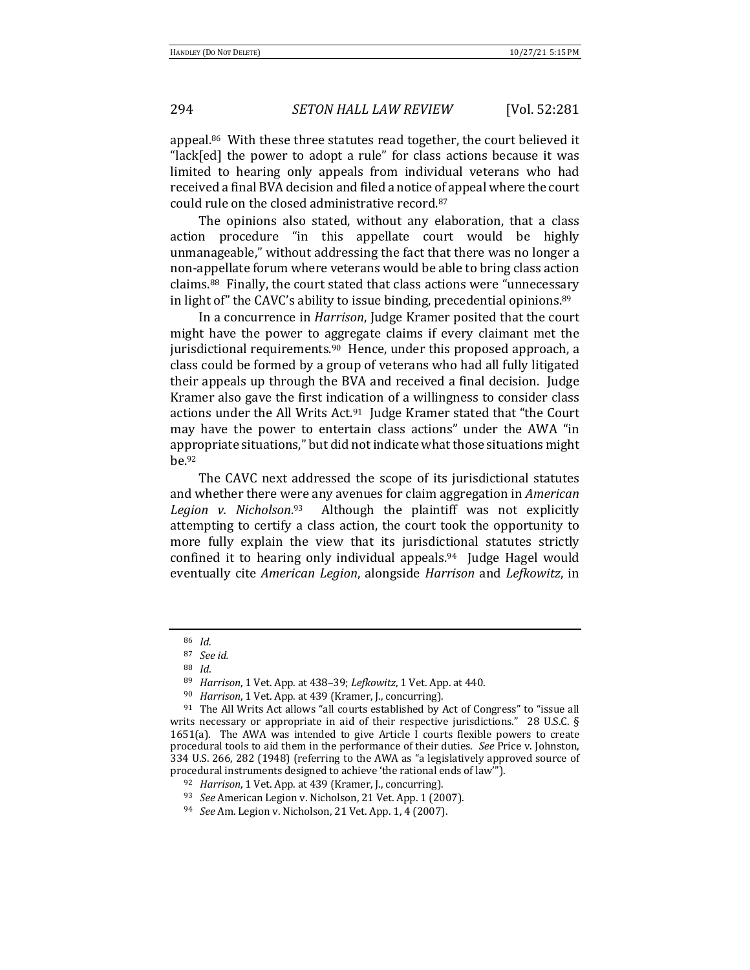## 294 *SETON HALL LAW REVIEW* [Vol. 52:281

appeal.<sup>86</sup> With these three statutes read together, the court believed it "lack[ed] the power to adopt a rule" for class actions because it was limited to hearing only appeals from individual veterans who had received a final BVA decision and filed a notice of appeal where the court could rule on the closed administrative record.<sup>87</sup>

The opinions also stated, without any elaboration, that a class action procedure "in this appellate court would be highly unmanageable," without addressing the fact that there was no longer a non-appellate forum where veterans would be able to bring class action claims.<sup>88</sup> Finally, the court stated that class actions were "unnecessary in light of" the CAVC's ability to issue binding, precedential opinions. $89$ 

In a concurrence in *Harrison*, Judge Kramer posited that the court might have the power to aggregate claims if every claimant met the jurisdictional requirements.<sup>90</sup> Hence, under this proposed approach, a class could be formed by a group of veterans who had all fully litigated their appeals up through the BVA and received a final decision. Judge Kramer also gave the first indication of a willingness to consider class actions under the All Writs Act.<sup>91</sup> Judge Kramer stated that "the Court may have the power to entertain class actions" under the AWA "in appropriate situations," but did not indicate what those situations might be.92

The CAVC next addressed the scope of its jurisdictional statutes and whether there were any avenues for claim aggregation in *American Legion v. Nicholson*. Although the plaintiff was not explicitly attempting to certify a class action, the court took the opportunity to more fully explain the view that its jurisdictional statutes strictly confined it to hearing only individual appeals.<sup>94</sup> Judge Hagel would eventually cite *American Legion*, alongside *Harrison* and *Lefkowitz*, in 

<sup>86</sup> *Id.*

<sup>87</sup> *See id.*

<sup>88</sup> *Id*. 

<sup>89</sup> *Harrison*, 1 Vet. App. at 438–39; *Lefkowitz*, 1 Vet. App. at 440.

<sup>&</sup>lt;sup>90</sup> *Harrison*, 1 Vet. App. at 439 (Kramer, J., concurring).

 $91$  The All Writs Act allows "all courts established by Act of Congress" to "issue all writs necessary or appropriate in aid of their respective jurisdictions."  $28$  U.S.C. § 1651(a). The AWA was intended to give Article I courts flexible powers to create procedural tools to aid them in the performance of their duties. See Price v. Johnston, 334 U.S. 266, 282 (1948) (referring to the AWA as "a legislatively approved source of procedural instruments designed to achieve 'the rational ends of law"').

<sup>&</sup>lt;sup>92</sup> *Harrison*, 1 Vet. App. at 439 (Kramer, J., concurring).

<sup>&</sup>lt;sup>93</sup> *See* American Legion v. Nicholson, 21 Vet. App. 1 (2007).

<sup>94</sup> *See Am. Legion v. Nicholson, 21 Vet. App. 1, 4 (2007).*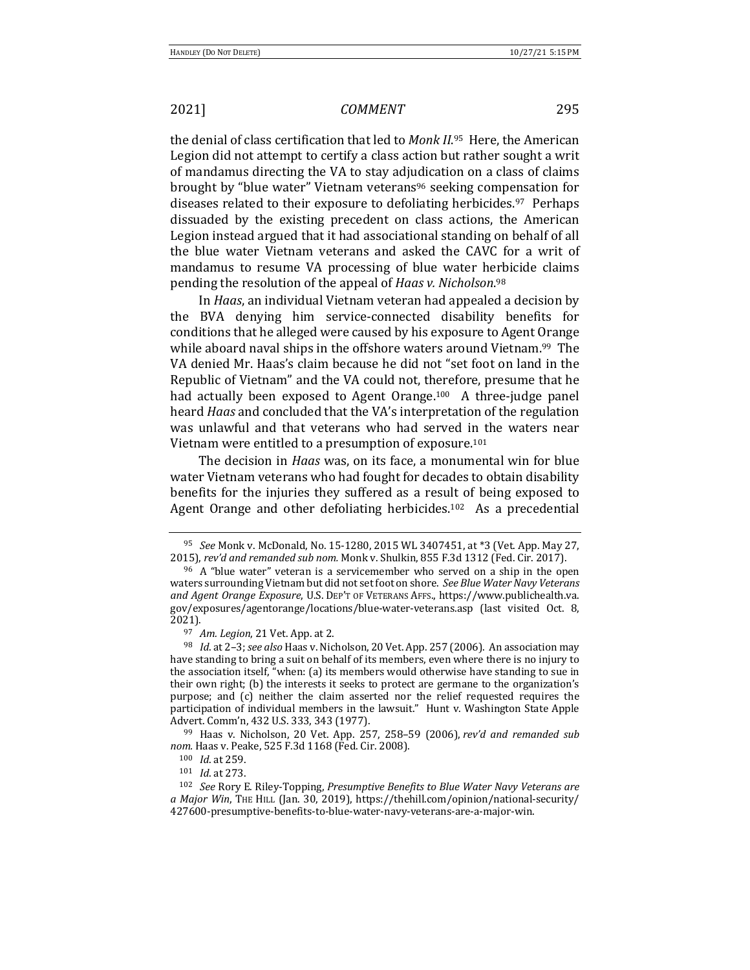the denial of class certification that led to Monk II.<sup>95</sup> Here, the American Legion did not attempt to certify a class action but rather sought a writ of mandamus directing the VA to stay adjudication on a class of claims brought by "blue water" Vietnam veterans<sup>96</sup> seeking compensation for diseases related to their exposure to defoliating herbicides.<sup>97</sup> Perhaps dissuaded by the existing precedent on class actions, the American Legion instead argued that it had associational standing on behalf of all the blue water Vietnam veterans and asked the CAVC for a writ of mandamus to resume VA processing of blue water herbicide claims pending the resolution of the appeal of *Haas v. Nicholson*.<sup>98</sup>

In *Haas*, an individual Vietnam veteran had appealed a decision by the BVA denying him service-connected disability benefits for conditions that he alleged were caused by his exposure to Agent Orange while aboard naval ships in the offshore waters around Vietnam.<sup>99</sup> The VA denied Mr. Haas's claim because he did not "set foot on land in the Republic of Vietnam" and the VA could not, therefore, presume that he had actually been exposed to Agent Orange.<sup>100</sup> A three-judge panel heard *Haas* and concluded that the VA's interpretation of the regulation was unlawful and that veterans who had served in the waters near Vietnam were entitled to a presumption of exposure.<sup>101</sup>

The decision in *Haas* was, on its face, a monumental win for blue water Vietnam veterans who had fought for decades to obtain disability benefits for the injuries they suffered as a result of being exposed to Agent Orange and other defoliating herbicides.<sup>102</sup> As a precedential

<sup>&</sup>lt;sup>95</sup> *See* Monk v. McDonald, No. 15-1280, 2015 WL 3407451, at \*3 (Vet. App. May 27, 2015), rev'd and remanded sub nom. Monk v. Shulkin, 855 F.3d 1312 (Fed. Cir. 2017).

 $96$  A "blue water" veteran is a servicemember who served on a ship in the open waters surrounding Vietnam but did not set foot on shore. See Blue Water Navy Veterans and Agent Orange Exposure, U.S. DEP'T OF VETERANS AFFS., https://www.publichealth.va. gov/exposures/agentorange/locations/blue-water-veterans.asp (last visited Oct. 8, 2021).

<sup>97</sup> Am. Legion, 21 Vet. App. at 2.

<sup>&</sup>lt;sup>98</sup> *Id.* at 2-3; see also Haas v. Nicholson, 20 Vet. App. 257 (2006). An association may have standing to bring a suit on behalf of its members, even where there is no injury to the association itself, "when: (a) its members would otherwise have standing to sue in their own right; (b) the interests it seeks to protect are germane to the organization's purpose; and (c) neither the claim asserted nor the relief requested requires the participation of individual members in the lawsuit." Hunt v. Washington State Apple Advert. Comm'n, 432 U.S. 333, 343 (1977).

<sup>&</sup>lt;sup>99</sup> Haas v. Nicholson, 20 Vet. App. 257, 258–59 (2006), *rev'd and remanded sub* nom. Haas v. Peake, 525 F.3d 1168 (Fed. Cir. 2008).

<sup>100</sup> *Id.* at 259.

<sup>101</sup> *Id.* at 273.

<sup>&</sup>lt;sup>102</sup> See Rory E. Riley-Topping, *Presumptive Benefits to Blue Water Navy Veterans are a* Major Win, THE HILL (Jan. 30, 2019), https://thehill.com/opinion/national-security/ 427600-presumptive-benefits-to-blue-water-navy-veterans-are-a-major-win.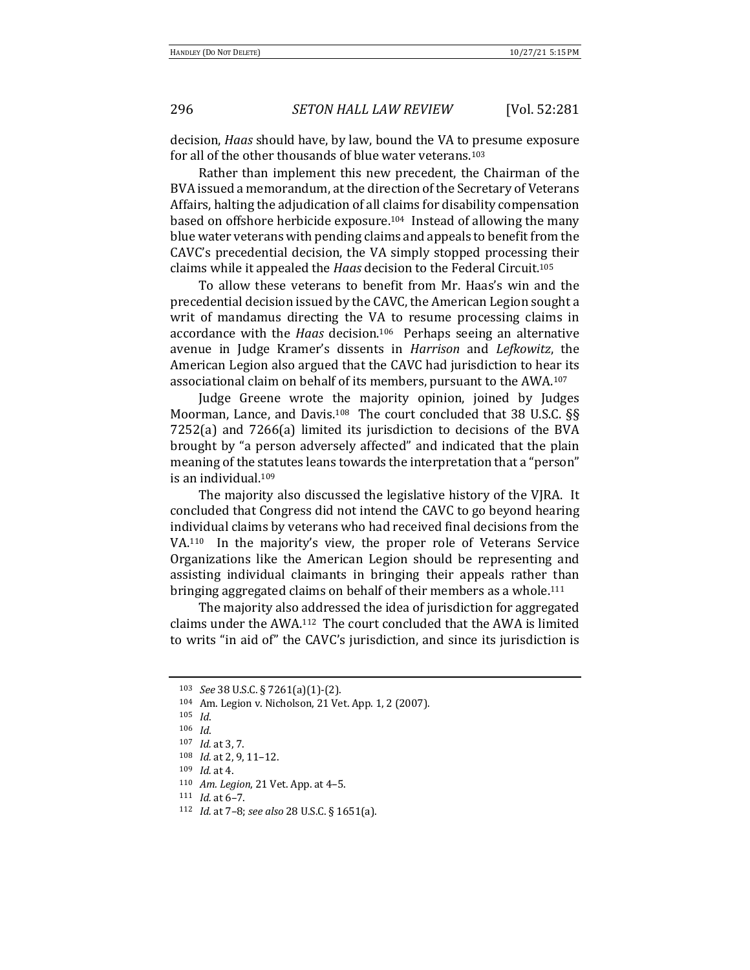### 296 *SETON HALL LAW REVIEW* [Vol. 52:281

decision, *Haas* should have, by law, bound the VA to presume exposure for all of the other thousands of blue water veterans.<sup>103</sup>

Rather than implement this new precedent, the Chairman of the BVA issued a memorandum, at the direction of the Secretary of Veterans Affairs, halting the adjudication of all claims for disability compensation based on offshore herbicide exposure.<sup>104</sup> Instead of allowing the many blue water veterans with pending claims and appeals to benefit from the CAVC's precedential decision, the VA simply stopped processing their claims while it appealed the *Haas* decision to the Federal Circuit.<sup>105</sup>

To allow these veterans to benefit from Mr. Haas's win and the precedential decision issued by the CAVC, the American Legion sought a writ of mandamus directing the VA to resume processing claims in accordance with the *Haas* decision.<sup>106</sup> Perhaps seeing an alternative avenue in Judge Kramer's dissents in *Harrison* and *Lefkowitz*, the American Legion also argued that the CAVC had jurisdiction to hear its associational claim on behalf of its members, pursuant to the AWA.<sup>107</sup>

Judge Greene wrote the majority opinion, joined by Judges Moorman, Lance, and Davis.<sup>108</sup> The court concluded that 38 U.S.C. §§  $7252(a)$  and  $7266(a)$  limited its jurisdiction to decisions of the BVA brought by "a person adversely affected" and indicated that the plain meaning of the statutes leans towards the interpretation that a "person" is an individual.<sup>109</sup>

The majority also discussed the legislative history of the VJRA. It concluded that Congress did not intend the CAVC to go beyond hearing individual claims by veterans who had received final decisions from the VA. $110$  In the majority's view, the proper role of Veterans Service Organizations like the American Legion should be representing and assisting individual claimants in bringing their appeals rather than bringing aggregated claims on behalf of their members as a whole.<sup>111</sup>

The majority also addressed the idea of jurisdiction for aggregated claims under the  $AWA$ .<sup>112</sup> The court concluded that the AWA is limited to writs "in aid of" the CAVC's jurisdiction, and since its jurisdiction is

<sup>103</sup> *See* 38 U.S.C. § 7261(a)(1)-(2).

<sup>104</sup> Am. Legion v. Nicholson, 21 Vet. App. 1, 2 (2007).

<sup>105</sup> *Id*.

<sup>106</sup> *Id*.

<sup>107</sup> *Id.* at 3, 7.

<sup>108</sup> *Id.* at 2, 9, 11-12.

<sup>109</sup> *Id.* at 4.

<sup>110</sup> *Am. Legion*, 21 Vet. App. at 4-5.

 $111$  *Id.* at  $6-7$ .

<sup>112</sup> *Id.* at 7-8; see also 28 U.S.C. § 1651(a).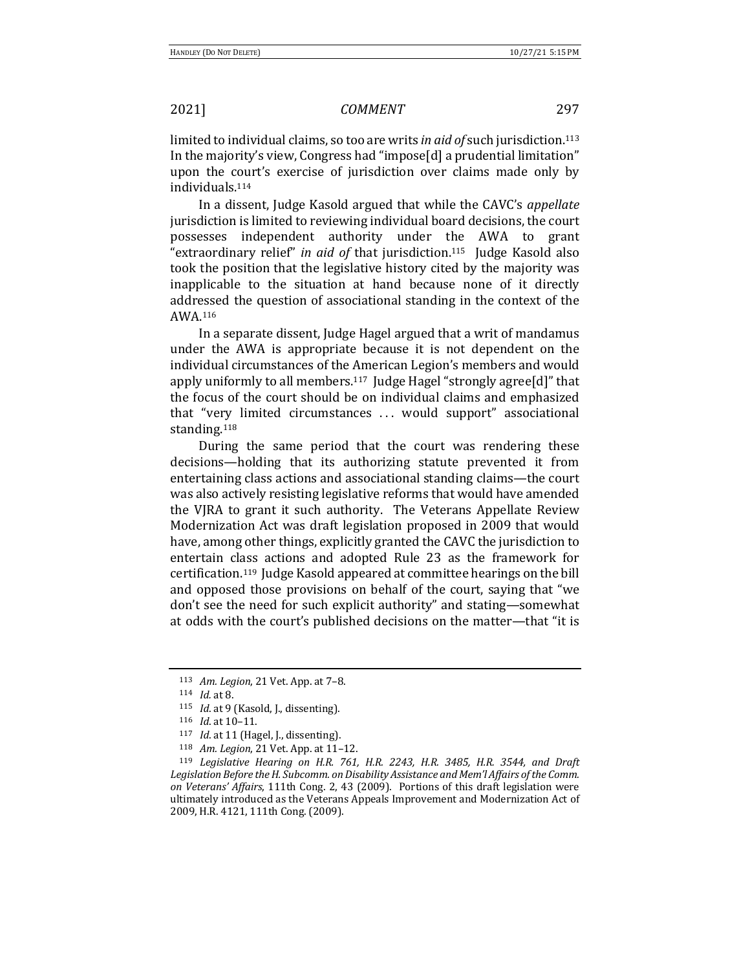limited to individual claims, so too are writs *in aid of* such jurisdiction.<sup>113</sup> In the majority's view, Congress had "impose[d] a prudential limitation" upon the court's exercise of jurisdiction over claims made only by individuals.114

In a dissent, Judge Kasold argued that while the CAVC's *appellate* jurisdiction is limited to reviewing individual board decisions, the court possesses independent authority under the AWA to grant "extraordinary relief" *in gid of* that jurisdiction.<sup>115</sup> Judge Kasold also took the position that the legislative history cited by the majority was inapplicable to the situation at hand because none of it directly addressed the question of associational standing in the context of the AWA.116 

In a separate dissent, Judge Hagel argued that a writ of mandamus under the AWA is appropriate because it is not dependent on the individual circumstances of the American Legion's members and would apply uniformly to all members.<sup>117</sup> Judge Hagel "strongly agree[d]" that the focus of the court should be on individual claims and emphasized that "very limited circumstances ... would support" associational standing.118

During the same period that the court was rendering these decisions—holding that its authorizing statute prevented it from entertaining class actions and associational standing claims—the court was also actively resisting legislative reforms that would have amended the VJRA to grant it such authority. The Veterans Appellate Review Modernization Act was draft legislation proposed in 2009 that would have, among other things, explicitly granted the CAVC the jurisdiction to entertain class actions and adopted Rule 23 as the framework for certification.<sup>119</sup> Judge Kasold appeared at committee hearings on the bill and opposed those provisions on behalf of the court, saying that "we don't see the need for such explicit authority" and stating-somewhat at odds with the court's published decisions on the matter—that "it is

<sup>113</sup> *Am. Legion*, 21 Vet. App. at 7-8.

<sup>114</sup> *Id.* at 8.

<sup>115</sup> *Id.* at 9 (Kasold, J., dissenting).

<sup>116</sup> *Id.* at 10-11.

<sup>&</sup>lt;sup>117</sup> *Id.* at 11 (Hagel, J., dissenting).

<sup>118</sup> *Am. Legion*, 21 Vet. App. at 11-12.

<sup>&</sup>lt;sup>119</sup> Legislative Hearing on H.R. 761, H.R. 2243, H.R. 3485, H.R. 3544, and Draft Legislation Before the H. Subcomm. on Disability Assistance and Mem'l Affairs of the Comm. on Veterans' *Affairs*, 111th Cong. 2, 43 (2009). Portions of this draft legislation were ultimately introduced as the Veterans Appeals Improvement and Modernization Act of 2009, H.R. 4121, 111th Cong. (2009).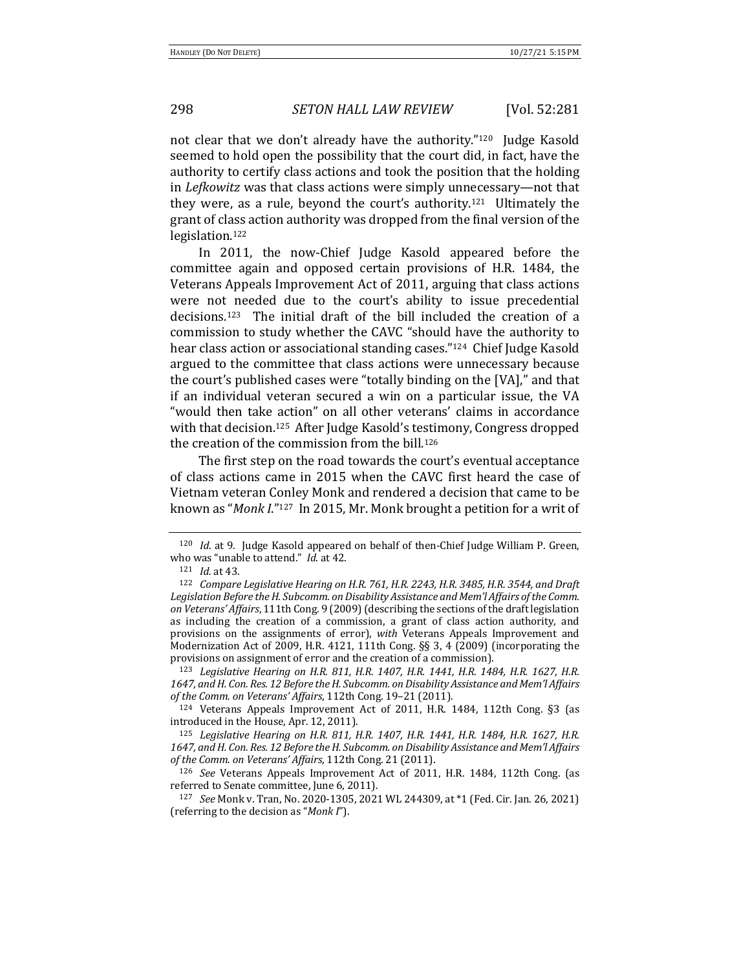## 298 *SETON HALL LAW REVIEW* [Vol. 52:281

not clear that we don't already have the authority."<sup>120</sup> Judge Kasold seemed to hold open the possibility that the court did, in fact, have the authority to certify class actions and took the position that the holding in *Lefkowitz* was that class actions were simply unnecessary—not that they were, as a rule, beyond the court's authority.<sup>121</sup> Ultimately the grant of class action authority was dropped from the final version of the legislation.122

In 2011, the now-Chief Judge Kasold appeared before the committee again and opposed certain provisions of H.R. 1484, the Veterans Appeals Improvement Act of 2011, arguing that class actions were not needed due to the court's ability to issue precedential  $decisions<sup>123</sup>$  The initial draft of the bill included the creation of a commission to study whether the CAVC "should have the authority to hear class action or associational standing cases."<sup>124</sup> Chief Judge Kasold argued to the committee that class actions were unnecessary because the court's published cases were "totally binding on the [VA]," and that if an individual veteran secured a win on a particular issue, the VA "would then take action" on all other veterans' claims in accordance with that decision.<sup>125</sup> After Judge Kasold's testimony, Congress dropped the creation of the commission from the bill.<sup>126</sup>

The first step on the road towards the court's eventual acceptance of class actions came in 2015 when the CAVC first heard the case of Vietnam veteran Conley Monk and rendered a decision that came to be known as "*Monk I*."<sup>127</sup> In 2015, Mr. Monk brought a petition for a writ of

<sup>123</sup> Legislative Hearing on H.R. 811, H.R. 1407, H.R. 1441, H.R. 1484, H.R. 1627, H.R. 1647, and H. Con. Res. 12 Before the H. Subcomm. on Disability Assistance and Mem'l Affairs of the Comm. on Veterans' *Affairs*, 112th Cong. 19-21 (2011).

 $124$  Veterans Appeals Improvement Act of 2011, H.R. 1484, 112th Cong. §3 (as introduced in the House, Apr. 12, 2011).

<sup>125</sup> Legislative Hearing on H.R. 811, H.R. 1407, H.R. 1441, H.R. 1484, H.R. 1627, H.R. 1647, and H. Con. Res. 12 Before the H. Subcomm. on Disability Assistance and Mem'l Affairs of the Comm. on Veterans' *Affairs*, 112th Cong. 21 (2011).

<sup>126</sup> *See* Veterans Appeals Improvement Act of 2011, H.R. 1484, 112th Cong. (as referred to Senate committee, June 6, 2011).

127 *See* Monk v. Tran, No. 2020-1305, 2021 WL 244309, at \*1 (Fed. Cir. Jan. 26, 2021) (referring to the decision as "*Monk I*").

<sup>&</sup>lt;sup>120</sup> *Id.* at 9. Judge Kasold appeared on behalf of then-Chief Judge William P. Green, who was "unable to attend." *Id.* at 42.

<sup>121</sup> *Id.* at 43.

<sup>&</sup>lt;sup>122</sup> Compare Legislative Hearing on H.R. 761, H.R. 2243, H.R. 3485, H.R. 3544, and Draft Legislation Before the H. Subcomm. on Disability Assistance and Mem'l Affairs of the Comm. on Veterans' *Affairs*, 111th Cong. 9 (2009) (describing the sections of the draft legislation as including the creation of a commission, a grant of class action authority, and provisions on the assignments of error), *with* Veterans Appeals Improvement and Modernization Act of 2009, H.R. 4121, 111th Cong.  $\S$ § 3, 4 (2009) (incorporating the provisions on assignment of error and the creation of a commission).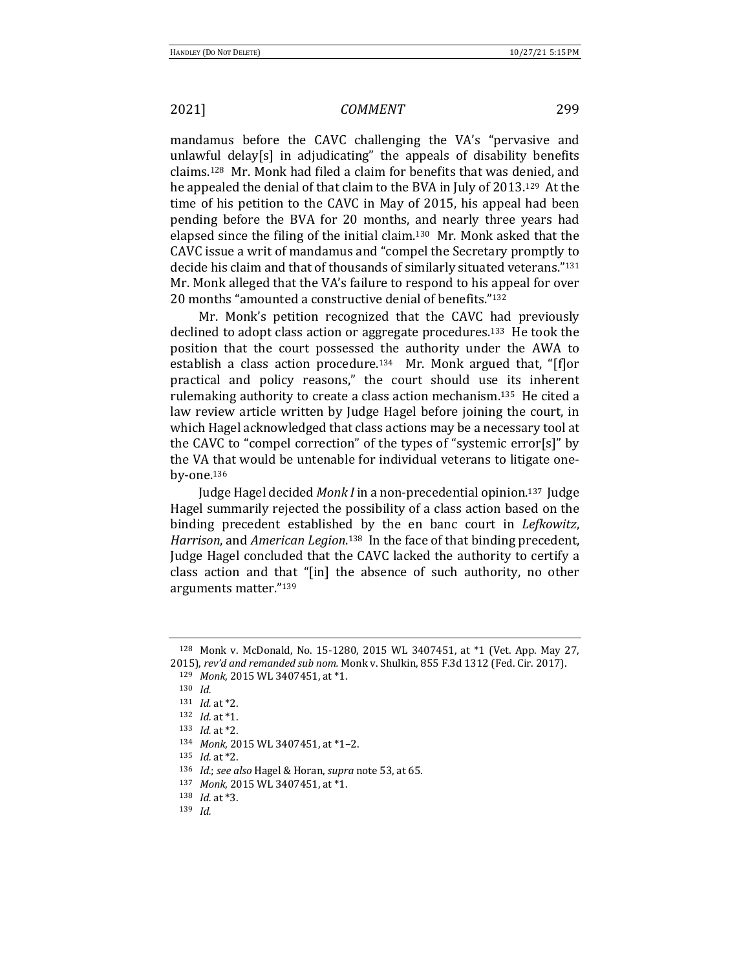mandamus before the CAVC challenging the VA's "pervasive and unlawful delay[s] in adjudicating" the appeals of disability benefits claims.<sup>128</sup> Mr. Monk had filed a claim for benefits that was denied, and he appealed the denial of that claim to the BVA in July of 2013.<sup>129</sup> At the time of his petition to the CAVC in May of 2015, his appeal had been pending before the BVA for 20 months, and nearly three years had elapsed since the filing of the initial claim.<sup>130</sup> Mr. Monk asked that the CAVC issue a writ of mandamus and "compel the Secretary promptly to decide his claim and that of thousands of similarly situated veterans."<sup>131</sup> Mr. Monk alleged that the VA's failure to respond to his appeal for over 20 months "amounted a constructive denial of benefits."<sup>132</sup>

Mr. Monk's petition recognized that the CAVC had previously declined to adopt class action or aggregate procedures.<sup>133</sup> He took the position that the court possessed the authority under the AWA to establish a class action procedure.<sup>134</sup> Mr. Monk argued that, "[f]or practical and policy reasons," the court should use its inherent rulemaking authority to create a class action mechanism.<sup>135</sup> He cited a law review article written by Judge Hagel before joining the court, in which Hagel acknowledged that class actions may be a necessary tool at the CAVC to "compel correction" of the types of "systemic error[s]" by the VA that would be untenable for individual veterans to litigate oneby-one.136

Judge Hagel decided *Monk I* in a non-precedential opinion.<sup>137</sup> Judge Hagel summarily rejected the possibility of a class action based on the binding precedent established by the en banc court in *Lefkowitz*, Harrison, and *American Legion*.<sup>138</sup> In the face of that binding precedent, Judge Hagel concluded that the CAVC lacked the authority to certify a class action and that "[in] the absence of such authority, no other arguments matter."139

 $128$  Monk v. McDonald, No. 15-1280, 2015 WL 3407451, at  $*1$  (Vet. App. May 27, 2015), rev'd and remanded sub nom. Monk v. Shulkin, 855 F.3d 1312 (Fed. Cir. 2017). 129 *Monk*, 2015 WL 3407451, at \*1.

<sup>130</sup> *Id.*

<sup>131</sup> *Id.* at \*2. 132 *Id.* at \*1.

 $133$  *Id.* at  $*2$ .

<sup>134</sup> *Monk*, 2015 WL 3407451, at \*1-2.

<sup>135</sup> *Id.* at \*2.

<sup>136</sup> *Id.*; see also Hagel & Horan, supra note 53, at 65.

<sup>137</sup> *Monk*, 2015 WL 3407451, at \*1.

<sup>138</sup> *Id.* at \*3.

<sup>139</sup> *Id.*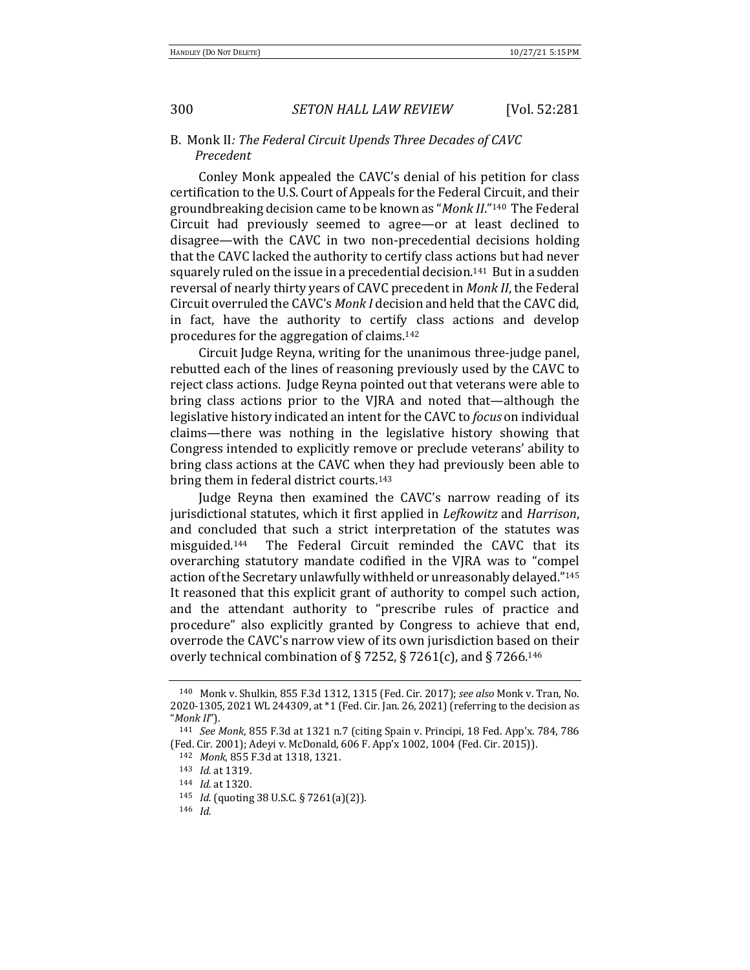## B. Monk II: The Federal Circuit Upends Three Decades of CAVC *Precedent*

Conley Monk appealed the CAVC's denial of his petition for class certification to the U.S. Court of Appeals for the Federal Circuit, and their groundbreaking decision came to be known as "*Monk II*."<sup>140</sup> The Federal Circuit had previously seemed to agree—or at least declined to disagree—with the CAVC in two non-precedential decisions holding that the CAVC lacked the authority to certify class actions but had never squarely ruled on the issue in a precedential decision.<sup>141</sup> But in a sudden reversal of nearly thirty years of CAVC precedent in *Monk II*, the Federal Circuit overruled the CAVC's *Monk I* decision and held that the CAVC did, in fact, have the authority to certify class actions and develop procedures for the aggregation of claims. $142$ 

Circuit Judge Reyna, writing for the unanimous three-judge panel, rebutted each of the lines of reasoning previously used by the CAVC to reject class actions. Judge Reyna pointed out that veterans were able to bring class actions prior to the VJRA and noted that—although the legislative history indicated an intent for the CAVC to *focus* on individual claims—there was nothing in the legislative history showing that Congress intended to explicitly remove or preclude veterans' ability to bring class actions at the CAVC when they had previously been able to bring them in federal district courts.<sup>143</sup>

Judge Reyna then examined the CAVC's narrow reading of its jurisdictional statutes, which it first applied in *Lefkowitz* and *Harrison*, and concluded that such a strict interpretation of the statutes was misguided.<sup>144</sup> The Federal Circuit reminded the CAVC that its overarching statutory mandate codified in the VJRA was to "compel action of the Secretary unlawfully withheld or unreasonably delayed."<sup>145</sup> It reasoned that this explicit grant of authority to compel such action, and the attendant authority to "prescribe rules of practice and procedure" also explicitly granted by Congress to achieve that end, overrode the CAVC's narrow view of its own jurisdiction based on their overly technical combination of § 7252, § 7261(c), and § 7266.<sup>146</sup>

<sup>140</sup> Monk v. Shulkin, 855 F.3d 1312, 1315 (Fed. Cir. 2017); see also Monk v. Tran, No. 2020-1305, 2021 WL 244309, at \*1 (Fed. Cir. Jan. 26, 2021) (referring to the decision as "*Monk II*").

<sup>141</sup> *See Monk*, 855 F.3d at 1321 n.7 (citing Spain v. Principi, 18 Fed. App'x. 784, 786 (Fed. Cir. 2001); Adeyi v. McDonald, 606 F. App'x 1002, 1004 (Fed. Cir. 2015)).

<sup>142</sup> *Monk*, 855 F.3d at 1318, 1321.

<sup>143</sup> *Id.* at 1319.

<sup>144</sup> *Id.* at 1320.

<sup>145</sup> *Id.* (quoting 38 U.S.C. § 7261(a)(2)).

<sup>146</sup> *Id.*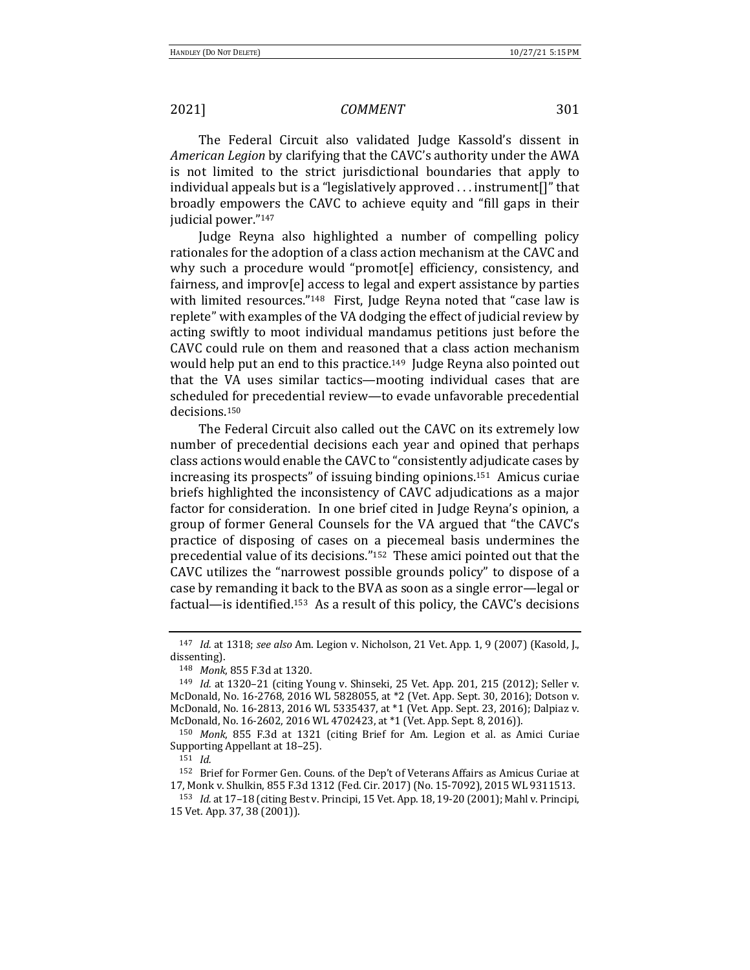The Federal Circuit also validated Judge Kassold's dissent in *American Legion* by clarifying that the CAVC's authority under the AWA is not limited to the strict jurisdictional boundaries that apply to individual appeals but is a "legislatively approved  $\ldots$  instrument  $[]$ " that broadly empowers the CAVC to achieve equity and "fill gaps in their judicial power."<sup>147</sup>

Judge Reyna also highlighted a number of compelling policy rationales for the adoption of a class action mechanism at the CAVC and why such a procedure would "promot[e] efficiency, consistency, and fairness, and improv[e] access to legal and expert assistance by parties with limited resources."<sup>148</sup> First, Judge Reyna noted that "case law is replete" with examples of the VA dodging the effect of judicial review by acting swiftly to moot individual mandamus petitions just before the CAVC could rule on them and reasoned that a class action mechanism would help put an end to this practice.<sup>149</sup> Judge Reyna also pointed out that the VA uses similar tactics—mooting individual cases that are scheduled for precedential review—to evade unfavorable precedential decisions.150

The Federal Circuit also called out the CAVC on its extremely low number of precedential decisions each year and opined that perhaps class actions would enable the CAVC to "consistently adjudicate cases by increasing its prospects" of issuing binding opinions.<sup>151</sup> Amicus curiae briefs highlighted the inconsistency of CAVC adjudications as a major factor for consideration. In one brief cited in Judge Reyna's opinion, a group of former General Counsels for the VA argued that "the CAVC's practice of disposing of cases on a piecemeal basis undermines the precedential value of its decisions."<sup>152</sup> These amici pointed out that the CAVC utilizes the "narrowest possible grounds policy" to dispose of a case by remanding it back to the BVA as soon as a single error—legal or factual—is identified.<sup>153</sup> As a result of this policy, the CAVC's decisions

<sup>147</sup> *Id.* at 1318; see also Am. Legion v. Nicholson, 21 Vet. App. 1, 9 (2007) (Kasold, J., dissenting).

<sup>148</sup> *Monk*, 855 F.3d at 1320.

<sup>&</sup>lt;sup>149</sup> *Id.* at 1320-21 (citing Young v. Shinseki, 25 Vet. App. 201, 215 (2012); Seller v. McDonald, No. 16-2768, 2016 WL 5828055, at \*2 (Vet. App. Sept. 30, 2016); Dotson v. McDonald, No. 16-2813, 2016 WL 5335437, at \*1 (Vet. App. Sept. 23, 2016); Dalpiaz v. McDonald, No. 16-2602, 2016 WL 4702423, at \*1 (Vet. App. Sept. 8, 2016)).

<sup>&</sup>lt;sup>150</sup> Monk, 855 F.3d at 1321 (citing Brief for Am. Legion et al. as Amici Curiae Supporting Appellant at 18-25).

<sup>151</sup> *Id.*

<sup>152</sup> Brief for Former Gen. Couns. of the Dep't of Veterans Affairs as Amicus Curiae at 17, Monk v. Shulkin, 855 F.3d 1312 (Fed. Cir. 2017) (No. 15-7092), 2015 WL 9311513.

<sup>153</sup> *Id.* at 17-18 (citing Best v. Principi, 15 Vet. App. 18, 19-20 (2001); Mahl v. Principi, 15 Vet. App. 37, 38 (2001)).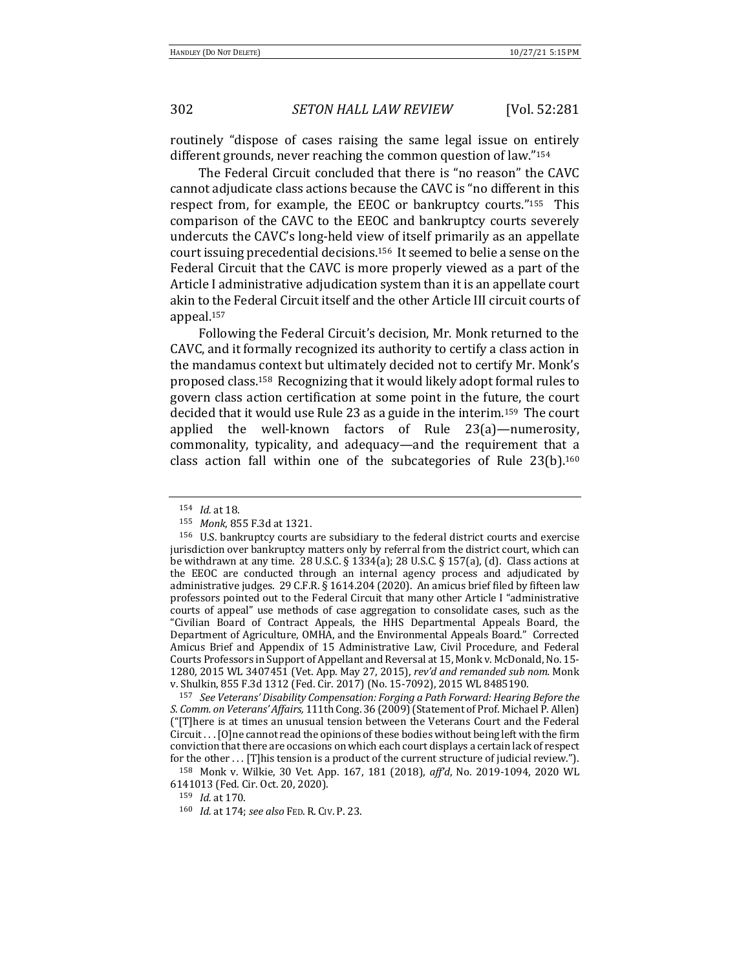302 *SETON HALL LAW REVIEW* [Vol. 52:281

routinely "dispose of cases raising the same legal issue on entirely different grounds, never reaching the common question of law."154

The Federal Circuit concluded that there is "no reason" the CAVC cannot adjudicate class actions because the CAVC is "no different in this respect from, for example, the EEOC or bankruptcy courts." $155$  This comparison of the CAVC to the EEOC and bankruptcy courts severely undercuts the CAVC's long-held view of itself primarily as an appellate court issuing precedential decisions.<sup>156</sup> It seemed to belie a sense on the Federal Circuit that the CAVC is more properly viewed as a part of the Article I administrative adjudication system than it is an appellate court akin to the Federal Circuit itself and the other Article III circuit courts of appeal.157

Following the Federal Circuit's decision, Mr. Monk returned to the CAVC, and it formally recognized its authority to certify a class action in the mandamus context but ultimately decided not to certify Mr. Monk's proposed class.<sup>158</sup> Recognizing that it would likely adopt formal rules to govern class action certification at some point in the future, the court decided that it would use Rule 23 as a guide in the interim.<sup>159</sup> The court applied the well-known factors of Rule  $23(a)$ —numerosity, commonality, typicality, and adequacy—and the requirement that a class action fall within one of the subcategories of Rule  $23(b)$ .<sup>160</sup>

<sup>157</sup> See Veterans' Disability Compensation: Forging a Path Forward: Hearing Before the *S. Comm. on Veterans' Affairs,* 111th Cong. 36 (2009) (Statement of Prof. Michael P. Allen)  $("T]$ here is at times an unusual tension between the Veterans Court and the Federal  $Circuit...$  [O]ne cannot read the opinions of these bodies without being left with the firm conviction that there are occasions on which each court displays a certain lack of respect for the other . . . [T]his tension is a product of the current structure of judicial review.").

<sup>154</sup> *Id.* at 18.

<sup>155</sup> *Monk*, 855 F.3d at 1321.

<sup>156</sup> U.S. bankruptcy courts are subsidiary to the federal district courts and exercise jurisdiction over bankruptcy matters only by referral from the district court, which can be withdrawn at any time.  $28 \text{ U.S.C.}$  §  $1334(a)$ ;  $28 \text{ U.S.C.}$  §  $157(a)$ , (d). Class actions at the EEOC are conducted through an internal agency process and adjudicated by administrative judges. 29 C.F.R. § 1614.204 (2020). An amicus brief filed by fifteen law professors pointed out to the Federal Circuit that many other Article I "administrative courts of appeal" use methods of case aggregation to consolidate cases, such as the "Civilian Board of Contract Appeals, the HHS Departmental Appeals Board, the Department of Agriculture, OMHA, and the Environmental Appeals Board." Corrected Amicus Brief and Appendix of 15 Administrative Law, Civil Procedure, and Federal Courts Professors in Support of Appellant and Reversal at 15, Monk v. McDonald, No. 15-1280, 2015 WL 3407451 (Vet. App. May 27, 2015), *rev'd and remanded sub nom.* Monk v. Shulkin, 855 F.3d 1312 (Fed. Cir. 2017) (No. 15-7092), 2015 WL 8485190.

<sup>&</sup>lt;sup>158</sup> Monk v. Wilkie, 30 Vet. App. 167, 181 (2018), aff'd, No. 2019-1094, 2020 WL 6141013 (Fed. Cir. Oct. 20, 2020).

<sup>159</sup> *Id.* at 170.

<sup>160</sup> *Id.* at 174; see also FED. R. CIV. P. 23.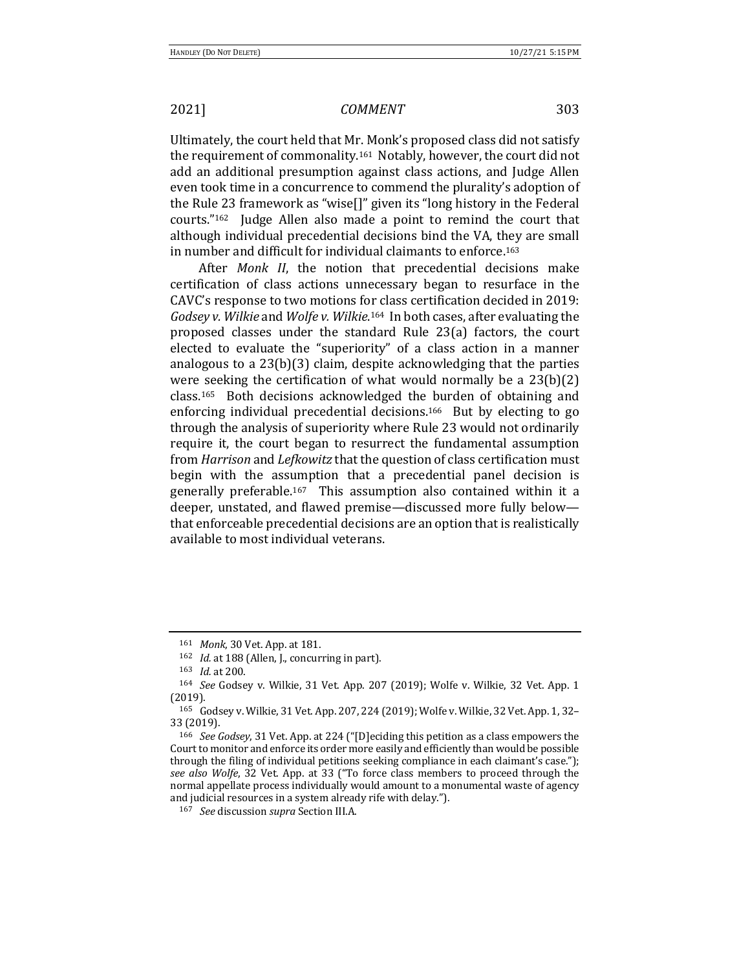Ultimately, the court held that Mr. Monk's proposed class did not satisfy the requirement of commonality.<sup>161</sup> Notably, however, the court did not add an additional presumption against class actions, and Judge Allen even took time in a concurrence to commend the plurality's adoption of the Rule 23 framework as "wise $\prod$ " given its "long history in the Federal courts." $162$  Judge Allen also made a point to remind the court that although individual precedential decisions bind the VA, they are small in number and difficult for individual claimants to enforce.<sup>163</sup>

After *Monk II*, the notion that precedential decisions make certification of class actions unnecessary began to resurface in the CAVC's response to two motions for class certification decided in 2019: Godsey v. Wilkie and Wolfe v. Wilkie.<sup>164</sup> In both cases, after evaluating the proposed classes under the standard Rule 23(a) factors, the court elected to evaluate the "superiority" of a class action in a manner analogous to a  $23(b)(3)$  claim, despite acknowledging that the parties were seeking the certification of what would normally be a  $23(b)(2)$  $class.^{165}$  Both decisions acknowledged the burden of obtaining and enforcing individual precedential decisions.<sup>166</sup> But by electing to go through the analysis of superiority where Rule 23 would not ordinarily require it, the court began to resurrect the fundamental assumption from *Harrison* and *Lefkowitz* that the question of class certification must begin with the assumption that a precedential panel decision is generally preferable.<sup>167</sup> This assumption also contained within it a deeper, unstated, and flawed premise—discussed more fully below that enforceable precedential decisions are an option that is realistically available to most individual veterans.

<sup>161</sup> *Monk*, 30 Vet. App. at 181.

<sup>&</sup>lt;sup>162</sup> *Id.* at 188 (Allen, J., concurring in part).

<sup>163</sup> *Id.* at 200.

<sup>&</sup>lt;sup>164</sup> *See* Godsey v. Wilkie, 31 Vet. App. 207 (2019); Wolfe v. Wilkie, 32 Vet. App. 1 (2019).

<sup>165</sup> Godsey v. Wilkie, 31 Vet. App. 207, 224 (2019); Wolfe v. Wilkie, 32 Vet. App. 1, 32– 33 (2019).

<sup>&</sup>lt;sup>166</sup> *See Godsey*, 31 Vet. App. at 224 ("[D]eciding this petition as a class empowers the Court to monitor and enforce its order more easily and efficiently than would be possible through the filing of individual petitions seeking compliance in each claimant's case."); *see also Wolfe*, 32 Vet. App. at 33 ("To force class members to proceed through the normal appellate process individually would amount to a monumental waste of agency and judicial resources in a system already rife with delay.").

<sup>167</sup> *See* discussion *supra* Section III.A.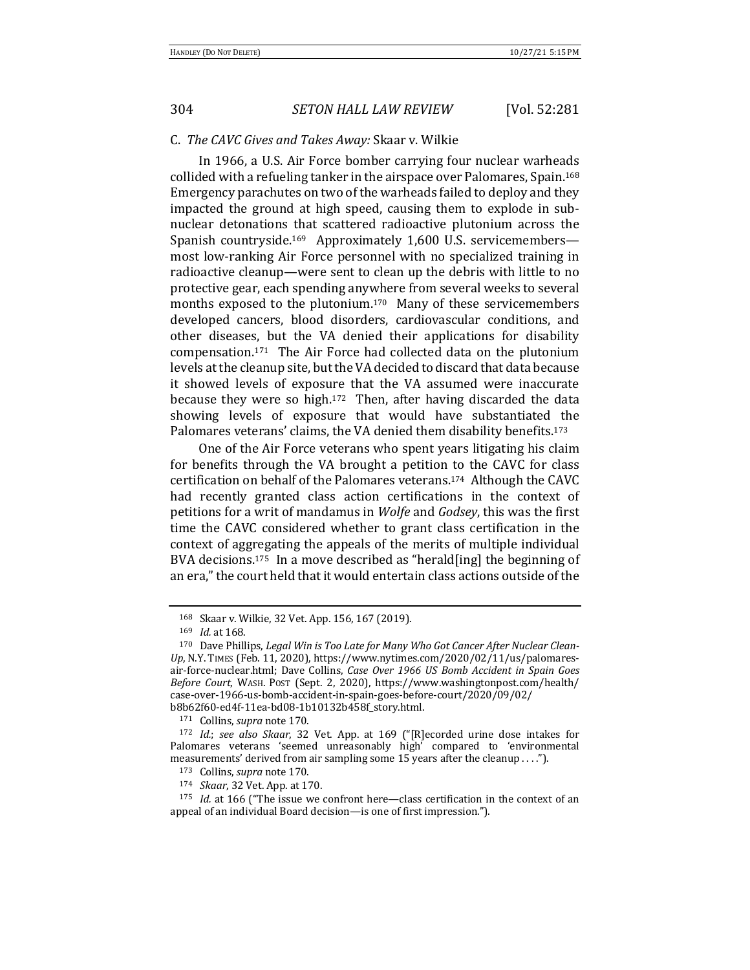### C. *The CAVC Gives and Takes Away:* Skaar v. Wilkie

In 1966, a U.S. Air Force bomber carrying four nuclear warheads collided with a refueling tanker in the airspace over Palomares, Spain.<sup>168</sup> Emergency parachutes on two of the warheads failed to deploy and they impacted the ground at high speed, causing them to explode in subnuclear detonations that scattered radioactive plutonium across the Spanish countryside.<sup>169</sup> Approximately 1,600 U.S. servicemembers most low-ranking Air Force personnel with no specialized training in radioactive cleanup—were sent to clean up the debris with little to no protective gear, each spending anywhere from several weeks to several months exposed to the plutonium.<sup>170</sup> Many of these servicemembers developed cancers, blood disorders, cardiovascular conditions, and other diseases, but the VA denied their applications for disability compensation.<sup>171</sup> The Air Force had collected data on the plutonium levels at the cleanup site, but the VA decided to discard that data because it showed levels of exposure that the VA assumed were inaccurate because they were so high.<sup>172</sup> Then, after having discarded the data showing levels of exposure that would have substantiated the Palomares veterans' claims, the VA denied them disability benefits.<sup>173</sup>

One of the Air Force veterans who spent years litigating his claim for benefits through the VA brought a petition to the CAVC for class certification on behalf of the Palomares veterans.<sup>174</sup> Although the CAVC had recently granted class action certifications in the context of petitions for a writ of mandamus in *Wolfe* and *Godsey*, this was the first time the CAVC considered whether to grant class certification in the context of aggregating the appeals of the merits of multiple individual BVA decisions.<sup>175</sup> In a move described as "herald [ing] the beginning of an era," the court held that it would entertain class actions outside of the

<sup>168</sup> Skaar v. Wilkie, 32 Vet. App. 156, 167 (2019).

<sup>169</sup> *Id.* at 168.

<sup>&</sup>lt;sup>170</sup> Dave Phillips, Legal Win is Too Late for Many Who Got Cancer After Nuclear Clean-*Up*, N.Y. TIMES (Feb. 11, 2020), https://www.nytimes.com/2020/02/11/us/palomaresair-force-nuclear.html; Dave Collins, *Case Over 1966 US Bomb Accident in Spain Goes Before Court*, WASH. POST (Sept. 2, 2020), https://www.washingtonpost.com/health/ case-over-1966-us-bomb-accident-in-spain-goes-before-court/2020/09/02/ b8b62f60-ed4f-11ea-bd08-1b10132b458f\_story.html.

<sup>171</sup> Collins, *supra* note 170.

<sup>&</sup>lt;sup>172</sup> *Id.*; see also *Skaar*, 32 Vet. App. at 169 ("[R]ecorded urine dose intakes for Palomares veterans 'seemed unreasonably high' compared to 'environmental measurements' derived from air sampling some 15 years after the cleanup ....").

<sup>173</sup> Collins, *supra* note 170.

<sup>174</sup> *Skaar*, 32 Vet. App. at 170.

<sup>&</sup>lt;sup>175</sup> *Id.* at 166 ("The issue we confront here—class certification in the context of an appeal of an individual Board decision—is one of first impression.").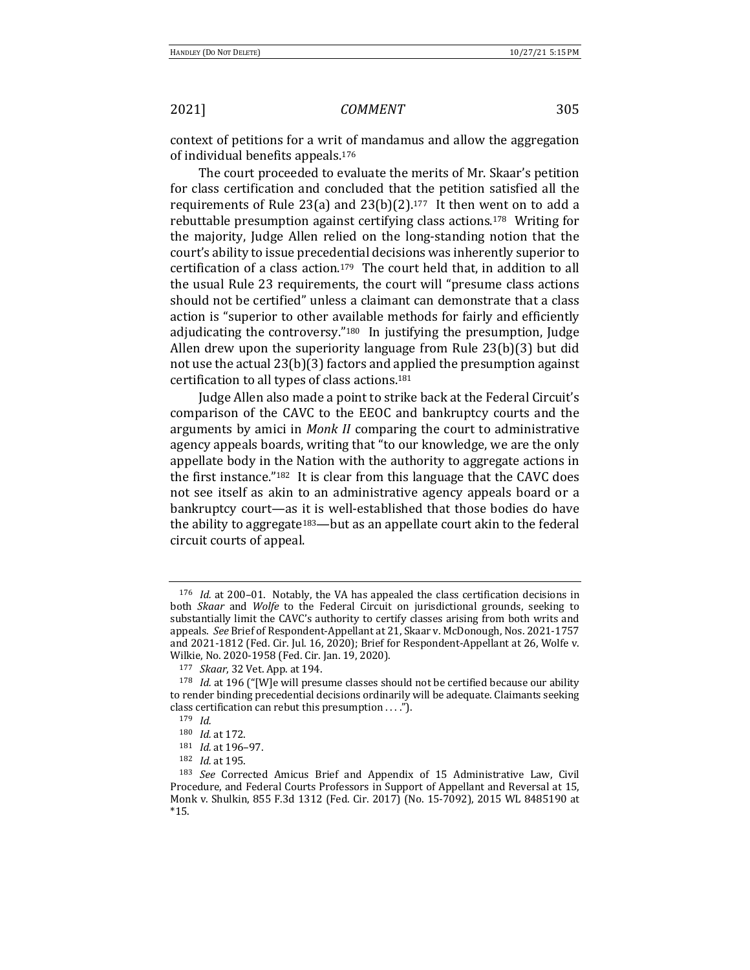context of petitions for a writ of mandamus and allow the aggregation of individual benefits appeals.<sup>176</sup>

The court proceeded to evaluate the merits of Mr. Skaar's petition for class certification and concluded that the petition satisfied all the requirements of Rule 23(a) and  $23(b)(2)$ .<sup>177</sup> It then went on to add a rebuttable presumption against certifying class actions.<sup>178</sup> Writing for the majority, Judge Allen relied on the long-standing notion that the court's ability to issue precedential decisions was inherently superior to certification of a class action.<sup>179</sup> The court held that, in addition to all the usual Rule 23 requirements, the court will "presume class actions should not be certified" unless a claimant can demonstrate that a class action is "superior to other available methods for fairly and efficiently adjudicating the controversy." $180$  In justifying the presumption, Judge Allen drew upon the superiority language from Rule  $23(b)(3)$  but did not use the actual  $23(b)(3)$  factors and applied the presumption against certification to all types of class actions.<sup>181</sup>

Judge Allen also made a point to strike back at the Federal Circuit's comparison of the CAVC to the EEOC and bankruptcy courts and the arguments by amici in *Monk II* comparing the court to administrative agency appeals boards, writing that "to our knowledge, we are the only appellate body in the Nation with the authority to aggregate actions in the first instance." $182$  It is clear from this language that the CAVC does not see itself as akin to an administrative agency appeals board or a bankruptcy court—as it is well-established that those bodies do have the ability to aggregate<sup>183</sup>—but as an appellate court akin to the federal circuit courts of appeal.

 $176$  *Id.* at 200–01. Notably, the VA has appealed the class certification decisions in both *Skaar* and *Wolfe* to the Federal Circuit on jurisdictional grounds, seeking to substantially limit the CAVC's authority to certify classes arising from both writs and appeals. See Brief of Respondent-Appellant at 21, Skaar v. McDonough, Nos. 2021-1757 and 2021-1812 (Fed. Cir. Jul. 16, 2020); Brief for Respondent-Appellant at 26, Wolfe v. Wilkie, No. 2020-1958 (Fed. Cir. Jan. 19, 2020).

<sup>177</sup> *Skaar*, 32 Vet. App. at 194.

<sup>&</sup>lt;sup>178</sup> *Id.* at 196 ("[W]e will presume classes should not be certified because our ability to render binding precedential decisions ordinarily will be adequate. Claimants seeking class certification can rebut this presumption  $\dots$ .").

<sup>179</sup> *Id.*

<sup>180</sup> *Id.* at 172.

<sup>181</sup> *Id.* at 196-97.

<sup>182</sup> *Id.* at 195.

<sup>&</sup>lt;sup>183</sup> *See* Corrected Amicus Brief and Appendix of 15 Administrative Law, Civil Procedure, and Federal Courts Professors in Support of Appellant and Reversal at 15, Monk v. Shulkin, 855 F.3d 1312 (Fed. Cir. 2017) (No. 15-7092), 2015 WL 8485190 at \*15.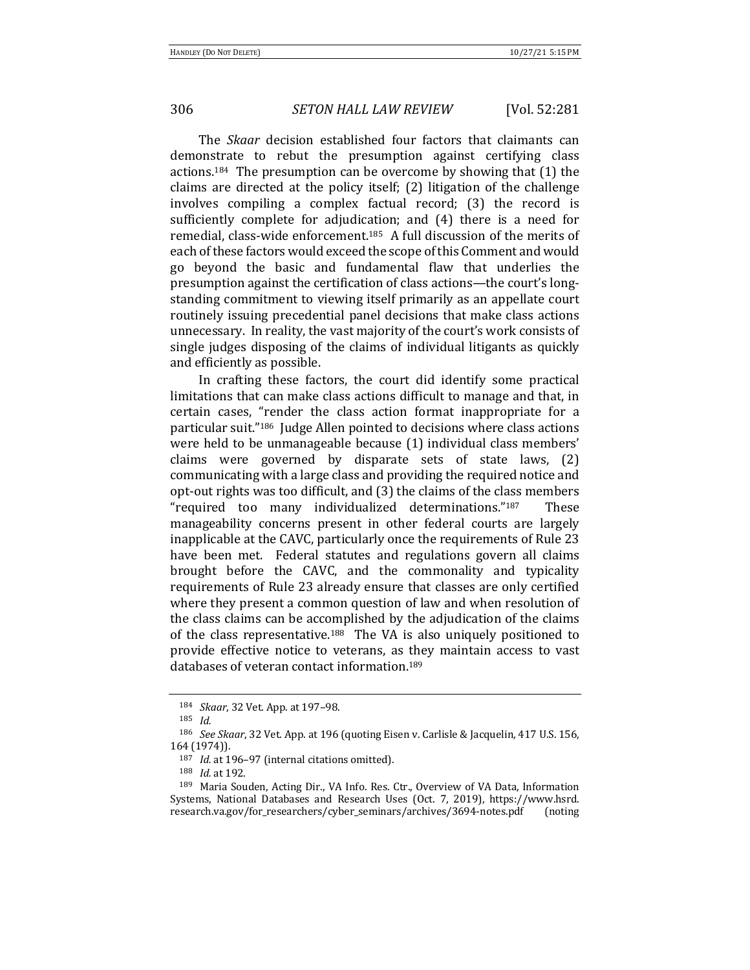The *Skaar* decision established four factors that claimants can demonstrate to rebut the presumption against certifying class actions.<sup>184</sup> The presumption can be overcome by showing that  $(1)$  the claims are directed at the policy itself;  $(2)$  litigation of the challenge involves compiling a complex factual record; (3) the record is sufficiently complete for adjudication; and (4) there is a need for remedial, class-wide enforcement.<sup>185</sup> A full discussion of the merits of each of these factors would exceed the scope of this Comment and would go beyond the basic and fundamental flaw that underlies the presumption against the certification of class actions-the court's longstanding commitment to viewing itself primarily as an appellate court routinely issuing precedential panel decisions that make class actions unnecessary. In reality, the vast majority of the court's work consists of single judges disposing of the claims of individual litigants as quickly and efficiently as possible.

In crafting these factors, the court did identify some practical limitations that can make class actions difficult to manage and that, in certain cases, "render the class action format inappropriate for a particular suit."<sup>186</sup> Judge Allen pointed to decisions where class actions were held to be unmanageable because (1) individual class members' claims were governed by disparate sets of state laws,  $(2)$ communicating with a large class and providing the required notice and opt-out rights was too difficult, and (3) the claims of the class members "required too many individualized determinations."<sup>187</sup> These manageability concerns present in other federal courts are largely inapplicable at the CAVC, particularly once the requirements of Rule 23 have been met. Federal statutes and regulations govern all claims brought before the CAVC, and the commonality and typicality requirements of Rule 23 already ensure that classes are only certified where they present a common question of law and when resolution of the class claims can be accomplished by the adjudication of the claims of the class representative.<sup>188</sup> The VA is also uniquely positioned to provide effective notice to veterans, as they maintain access to vast databases of veteran contact information.<sup>189</sup>

<sup>184</sup> *Skaar*, 32 Vet. App. at 197-98.

<sup>185</sup> *Id.*

<sup>&</sup>lt;sup>186</sup> *See Skaar*, 32 Vet. App. at 196 (quoting Eisen v. Carlisle & Jacquelin, 417 U.S. 156, 164 (1974)).

<sup>187</sup> *Id.* at 196-97 (internal citations omitted).

<sup>188</sup> *Id.* at 192.

<sup>&</sup>lt;sup>189</sup> Maria Souden, Acting Dir., VA Info. Res. Ctr., Overview of VA Data, Information Systems, National Databases and Research Uses (Oct. 7, 2019), https://www.hsrd. research.va.gov/for\_researchers/cyber\_seminars/archives/3694-notes.pdf (noting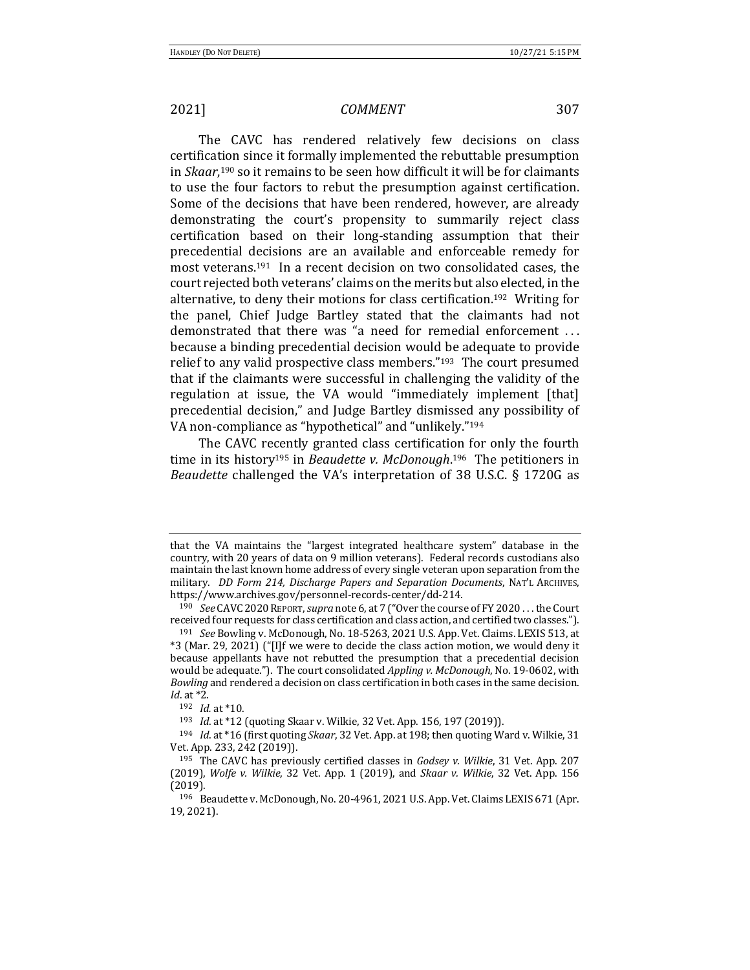The CAVC has rendered relatively few decisions on class certification since it formally implemented the rebuttable presumption in *Skaar*,<sup>190</sup> so it remains to be seen how difficult it will be for claimants to use the four factors to rebut the presumption against certification. Some of the decisions that have been rendered, however, are already demonstrating the court's propensity to summarily reject class certification based on their long-standing assumption that their precedential decisions are an available and enforceable remedy for most veterans.<sup>191</sup> In a recent decision on two consolidated cases, the court rejected both veterans' claims on the merits but also elected, in the alternative, to deny their motions for class certification.<sup>192</sup> Writing for the panel, Chief Judge Bartley stated that the claimants had not demonstrated that there was "a need for remedial enforcement ... because a binding precedential decision would be adequate to provide relief to any valid prospective class members." $193$  The court presumed that if the claimants were successful in challenging the validity of the regulation at issue, the VA would "immediately implement [that] precedential decision," and Judge Bartley dismissed any possibility of VA non-compliance as "hypothetical" and "unlikely."<sup>194</sup>

The CAVC recently granted class certification for only the fourth time in its history<sup>195</sup> in *Beaudette v. McDonough*.<sup>196</sup> The petitioners in *Beaudette* challenged the VA's interpretation of 38 U.S.C. § 1720G as

that the VA maintains the "largest integrated healthcare system" database in the country, with 20 years of data on 9 million veterans). Federal records custodians also maintain the last known home address of every single veteran upon separation from the military. *DD Form 214, Discharge Papers and Separation Documents*, NAT'L ARCHIVES, https://www.archives.gov/personnel-records-center/dd-214. 

<sup>190</sup> *See* CAVC 2020 REPORT, *supra* note 6, at 7 ("Over the course of FY 2020... the Court received four requests for class certification and class action, and certified two classes.").

<sup>&</sup>lt;sup>191</sup> *See* Bowling v. McDonough, No. 18-5263, 2021 U.S. App. Vet. Claims. LEXIS 513, at  $*3$  (Mar. 29, 2021) ("[I]f we were to decide the class action motion, we would deny it because appellants have not rebutted the presumption that a precedential decision would be adequate."). The court consolidated *Appling v. McDonough*, No. 19-0602, with *Bowling* and rendered a decision on class certification in both cases in the same decision. *Id.* at \*2.

<sup>192</sup> *Id.* at \*10.

<sup>&</sup>lt;sup>193</sup> *Id.* at \*12 (quoting Skaar v. Wilkie, 32 Vet. App. 156, 197 (2019)).

<sup>&</sup>lt;sup>194</sup> *Id.* at \*16 (first quoting *Skaar*, 32 Vet. App. at 198; then quoting Ward v. Wilkie, 31 Vet. App. 233, 242 (2019)).

<sup>&</sup>lt;sup>195</sup> The CAVC has previously certified classes in *Godsey v. Wilkie*, 31 Vet. App. 207 (2019), *Wolfe v. Wilkie*, 32 Vet. App. 1 (2019), and *Skaar v. Wilkie*, 32 Vet. App. 156 (2019).

<sup>196</sup> Beaudette v. McDonough, No. 20-4961, 2021 U.S. App. Vet. Claims LEXIS 671 (Apr. 19, 2021).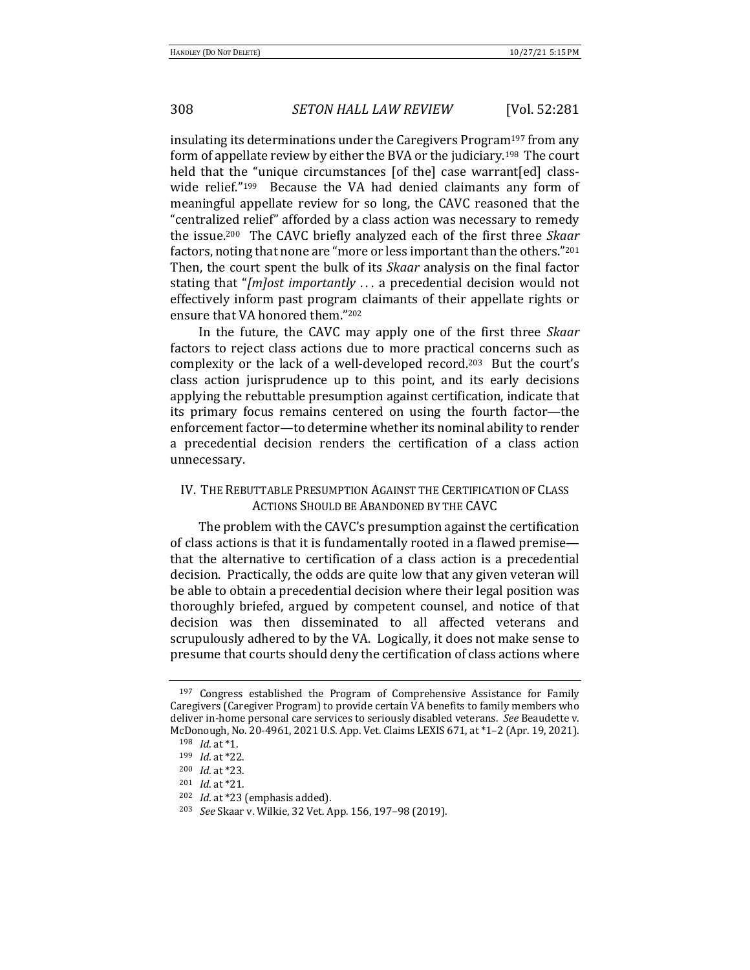insulating its determinations under the Caregivers Program<sup>197</sup> from any form of appellate review by either the BVA or the judiciary.<sup>198</sup> The court held that the "unique circumstances [of the] case warrant[ed] classwide relief." $199$  Because the VA had denied claimants any form of meaningful appellate review for so long, the CAVC reasoned that the "centralized relief" afforded by a class action was necessary to remedy the issue.<sup>200</sup> The CAVC briefly analyzed each of the first three *Skaar* factors, noting that none are "more or less important than the others."<sup>201</sup> Then, the court spent the bulk of its *Skaar* analysis on the final factor stating that "*[m]ost importantly* ... a precedential decision would not effectively inform past program claimants of their appellate rights or ensure that VA honored them."202

In the future, the CAVC may apply one of the first three *Skaar* factors to reject class actions due to more practical concerns such as complexity or the lack of a well-developed record.<sup>203</sup> But the court's class action jurisprudence up to this point, and its early decisions applying the rebuttable presumption against certification, indicate that its primary focus remains centered on using the fourth factor—the enforcement factor-to determine whether its nominal ability to render a precedential decision renders the certification of a class action unnecessary.

## IV. THE REBUTTABLE PRESUMPTION AGAINST THE CERTIFICATION OF CLASS ACTIONS SHOULD BE ABANDONED BY THE CAVC

The problem with the CAVC's presumption against the certification of class actions is that it is fundamentally rooted in a flawed premise that the alternative to certification of a class action is a precedential decision. Practically, the odds are quite low that any given veteran will be able to obtain a precedential decision where their legal position was thoroughly briefed, argued by competent counsel, and notice of that decision was then disseminated to all affected veterans and scrupulously adhered to by the VA. Logically, it does not make sense to presume that courts should deny the certification of class actions where

<sup>&</sup>lt;sup>197</sup> Congress established the Program of Comprehensive Assistance for Family Caregivers (Caregiver Program) to provide certain VA benefits to family members who deliver in-home personal care services to seriously disabled veterans. See Beaudette v. McDonough, No. 20-4961, 2021 U.S. App. Vet. Claims LEXIS 671, at \*1-2 (Apr. 19, 2021).

<sup>198</sup> *Id.* at \*1.

<sup>199</sup> *Id.* at \*22.

<sup>200</sup> *Id.* at \*23.

<sup>201</sup> *Id.* at \*21.

<sup>&</sup>lt;sup>202</sup> *Id.* at \*23 (emphasis added).

<sup>&</sup>lt;sup>203</sup> *See* Skaar v. Wilkie, 32 Vet. App. 156, 197-98 (2019).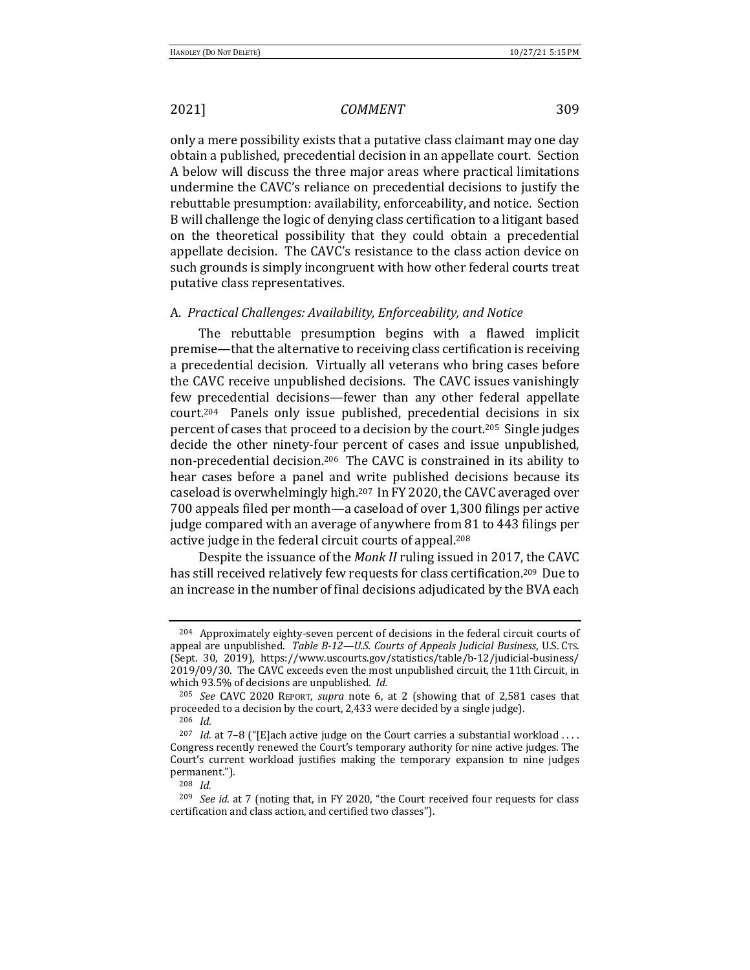only a mere possibility exists that a putative class claimant may one day obtain a published, precedential decision in an appellate court. Section A below will discuss the three major areas where practical limitations undermine the CAVC's reliance on precedential decisions to justify the rebuttable presumption: availability, enforceability, and notice. Section B will challenge the logic of denying class certification to a litigant based on the theoretical possibility that they could obtain a precedential appellate decision. The CAVC's resistance to the class action device on such grounds is simply incongruent with how other federal courts treat putative class representatives.

### A. Practical Challenges: Availability, Enforceability, and Notice

The rebuttable presumption begins with a flawed implicit premise—that the alternative to receiving class certification is receiving a precedential decision. Virtually all veterans who bring cases before the CAVC receive unpublished decisions. The CAVC issues vanishingly few precedential decisions—fewer than any other federal appellate  $court<sub>.204</sub>$  Panels only issue published, precedential decisions in six percent of cases that proceed to a decision by the court.<sup>205</sup> Single judges decide the other ninety-four percent of cases and issue unpublished, non-precedential decision.<sup>206</sup> The CAVC is constrained in its ability to hear cases before a panel and write published decisions because its caseload is overwhelmingly high.<sup>207</sup> In FY 2020, the CAVC averaged over 700 appeals filed per month—a caseload of over 1,300 filings per active judge compared with an average of anywhere from 81 to 443 filings per active judge in the federal circuit courts of appeal.<sup>208</sup>

Despite the issuance of the *Monk II* ruling issued in 2017, the CAVC has still received relatively few requests for class certification.<sup>209</sup> Due to an increase in the number of final decisions adjudicated by the BVA each

 $204$  Approximately eighty-seven percent of decisions in the federal circuit courts of appeal are unpublished. *Table B-12—U.S. Courts of Appeals Judicial Business*, U.S. CTs. (Sept. 30, 2019), https://www.uscourts.gov/statistics/table/b-12/judicial-business/ 2019/09/30. The CAVC exceeds even the most unpublished circuit, the 11th Circuit, in which 93.5% of decisions are unpublished. *Id.* 

<sup>&</sup>lt;sup>205</sup> *See* CAVC 2020 REPORT, *supra* note 6, at 2 (showing that of 2,581 cases that proceeded to a decision by the court, 2,433 were decided by a single judge). <sup>206</sup> *Id*.

<sup>&</sup>lt;sup>207</sup> *Id.* at  $7-8$  ("[E]ach active judge on the Court carries a substantial workload .... Congress recently renewed the Court's temporary authority for nine active judges. The Court's current workload justifies making the temporary expansion to nine judges permanent.").

<sup>208</sup> *Id.*

<sup>&</sup>lt;sup>209</sup> *See id.* at 7 (noting that, in FY 2020, "the Court received four requests for class certification and class action, and certified two classes").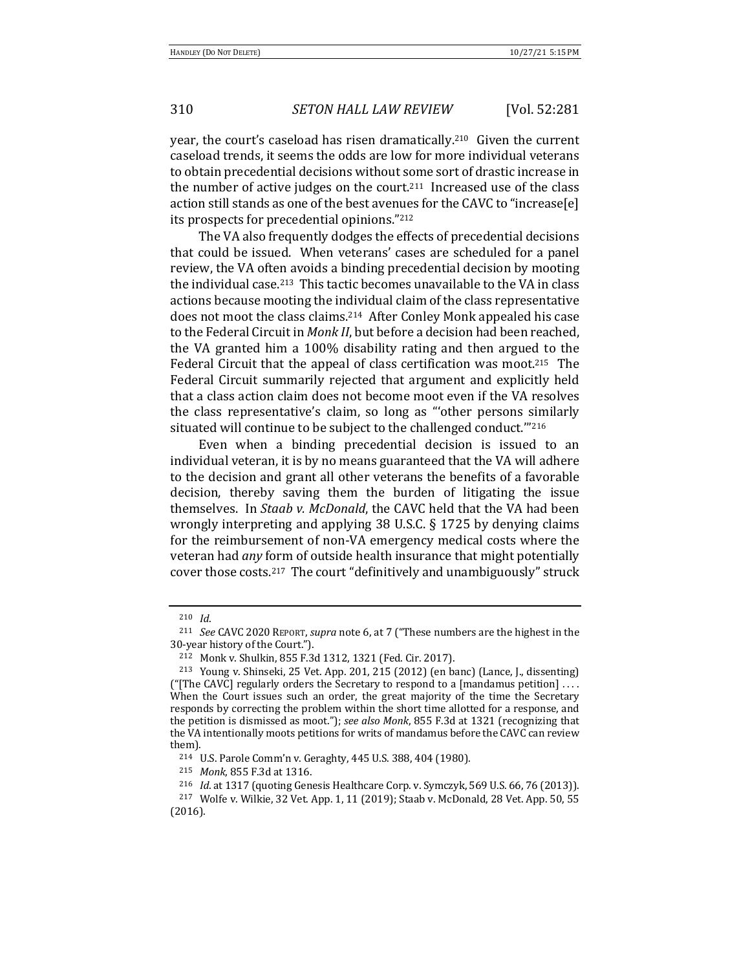year, the court's caseload has risen dramatically.<sup>210</sup> Given the current caseload trends, it seems the odds are low for more individual veterans to obtain precedential decisions without some sort of drastic increase in the number of active judges on the court.<sup>211</sup> Increased use of the class action still stands as one of the best avenues for the CAVC to "increase[e] its prospects for precedential opinions."<sup>212</sup>

The VA also frequently dodges the effects of precedential decisions that could be issued. When veterans' cases are scheduled for a panel review, the VA often avoids a binding precedential decision by mooting the individual case.<sup>213</sup> This tactic becomes unavailable to the VA in class actions because mooting the individual claim of the class representative does not moot the class claims.<sup>214</sup> After Conley Monk appealed his case to the Federal Circuit in *Monk II*, but before a decision had been reached, the VA granted him a 100% disability rating and then argued to the Federal Circuit that the appeal of class certification was moot.<sup>215</sup> The Federal Circuit summarily rejected that argument and explicitly held that a class action claim does not become moot even if the VA resolves the class representative's claim, so long as "other persons similarly situated will continue to be subject to the challenged conduct."<sup>216</sup>

Even when a binding precedential decision is issued to an individual veteran, it is by no means guaranteed that the VA will adhere to the decision and grant all other veterans the benefits of a favorable decision, thereby saving them the burden of litigating the issue themselves. In *Staab v. McDonald*, the CAVC held that the VA had been wrongly interpreting and applying 38 U.S.C.  $\S$  1725 by denying claims for the reimbursement of non-VA emergency medical costs where the veteran had *any* form of outside health insurance that might potentially cover those costs.<sup>217</sup> The court "definitively and unambiguously" struck

<sup>210</sup> *Id*. 

<sup>&</sup>lt;sup>211</sup> *See* CAVC 2020 REPORT, *supra* note 6, at 7 ("These numbers are the highest in the 30-year history of the Court.").

<sup>212</sup> Monk v. Shulkin, 855 F.3d 1312, 1321 (Fed. Cir. 2017).

<sup>&</sup>lt;sup>213</sup> Young v. Shinseki, 25 Vet. App. 201, 215 (2012) (en banc) (Lance, J., dissenting) ("[The CAVC] regularly orders the Secretary to respond to a [mandamus petition]  $\dots$ When the Court issues such an order, the great majority of the time the Secretary responds by correcting the problem within the short time allotted for a response, and the petition is dismissed as moot."); see also Monk, 855 F.3d at 1321 (recognizing that the VA intentionally moots petitions for writs of mandamus before the CAVC can review them).

<sup>&</sup>lt;sup>214</sup> U.S. Parole Comm'n v. Geraghty, 445 U.S. 388, 404 (1980).

<sup>215</sup> *Monk*, 855 F.3d at 1316.

<sup>&</sup>lt;sup>216</sup> *Id.* at 1317 (quoting Genesis Healthcare Corp. v. Symczyk, 569 U.S. 66, 76 (2013)).

<sup>&</sup>lt;sup>217</sup> Wolfe v. Wilkie, 32 Vet. App. 1, 11 (2019); Staab v. McDonald, 28 Vet. App. 50, 55 (2016).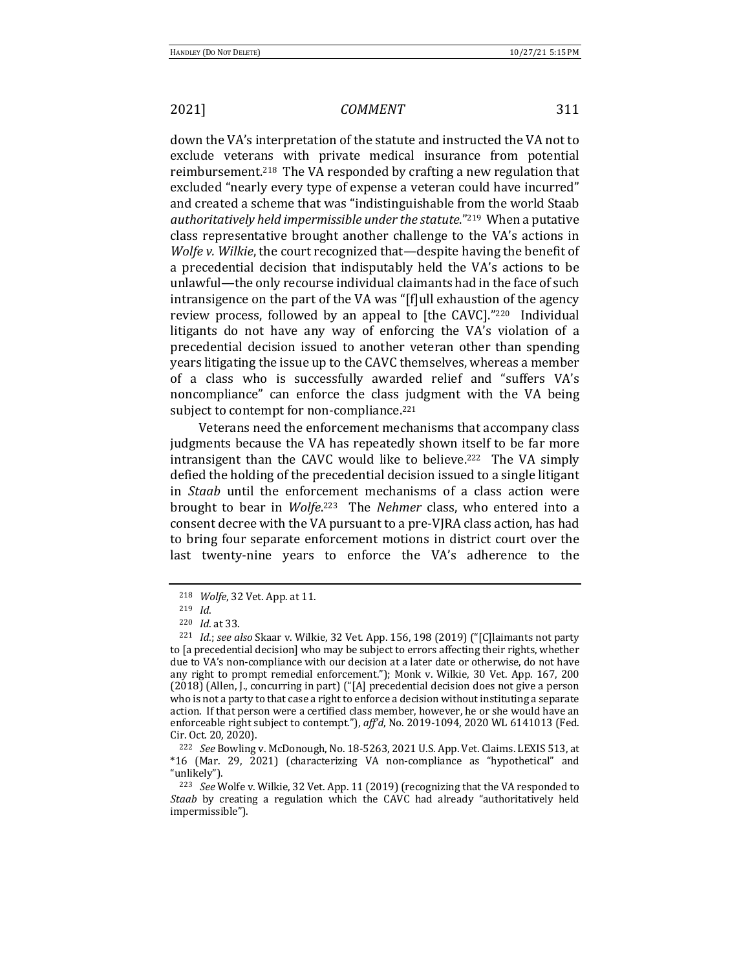down the VA's interpretation of the statute and instructed the VA not to exclude veterans with private medical insurance from potential reimbursement.<sup>218</sup> The VA responded by crafting a new regulation that excluded "nearly every type of expense a veteran could have incurred" and created a scheme that was "indistinguishable from the world Staab authoritatively held *impermissible under the statute*."<sup>219</sup> When a putative class representative brought another challenge to the VA's actions in *Wolfe v. Wilkie*, the court recognized that—despite having the benefit of a precedential decision that indisputably held the VA's actions to be unlawful—the only recourse individual claimants had in the face of such intransigence on the part of the VA was "[f]ull exhaustion of the agency review process, followed by an appeal to [the CAVC]."220 Individual litigants do not have any way of enforcing the VA's violation of a precedential decision issued to another veteran other than spending years litigating the issue up to the CAVC themselves, whereas a member of a class who is successfully awarded relief and "suffers VA's noncompliance" can enforce the class judgment with the VA being subject to contempt for non-compliance.<sup>221</sup>

Veterans need the enforcement mechanisms that accompany class judgments because the VA has repeatedly shown itself to be far more intransigent than the CAVC would like to believe.<sup>222</sup> The VA simply defied the holding of the precedential decision issued to a single litigant in *Staab* until the enforcement mechanisms of a class action were brought to bear in *Wolfe*.<sup>223</sup> The *Nehmer* class, who entered into a consent decree with the VA pursuant to a pre-VJRA class action, has had to bring four separate enforcement motions in district court over the last twenty-nine years to enforce the VA's adherence to the

<sup>&</sup>lt;sup>218</sup> *Wolfe*, 32 Vet. App. at 11.

<sup>219</sup> *Id*.

<sup>220</sup> *Id.* at 33.

<sup>&</sup>lt;sup>221</sup> *Id.;* see also Skaar v. Wilkie, 32 Vet. App. 156, 198 (2019) ("[C]laimants not party to [a precedential decision] who may be subject to errors affecting their rights, whether due to VA's non-compliance with our decision at a later date or otherwise, do not have any right to prompt remedial enforcement."); Monk v. Wilkie, 30 Vet. App. 167, 200  $(2018)$  (Allen, J., concurring in part) ("[A] precedential decision does not give a person who is not a party to that case a right to enforce a decision without instituting a separate action. If that person were a certified class member, however, he or she would have an enforceable right subject to contempt."), aff'd, No. 2019-1094, 2020 WL 6141013 (Fed. Cir. Oct. 20, 2020).

<sup>&</sup>lt;sup>222</sup> *See* Bowling v. McDonough, No. 18-5263, 2021 U.S. App. Vet. Claims. LEXIS 513, at  $*16$  (Mar. 29, 2021) (characterizing VA non-compliance as "hypothetical" and "unlikely").

<sup>&</sup>lt;sup>223</sup> *See* Wolfe v. Wilkie, 32 Vet. App. 11 (2019) (recognizing that the VA responded to *Staab* by creating a regulation which the CAVC had already "authoritatively held impermissible").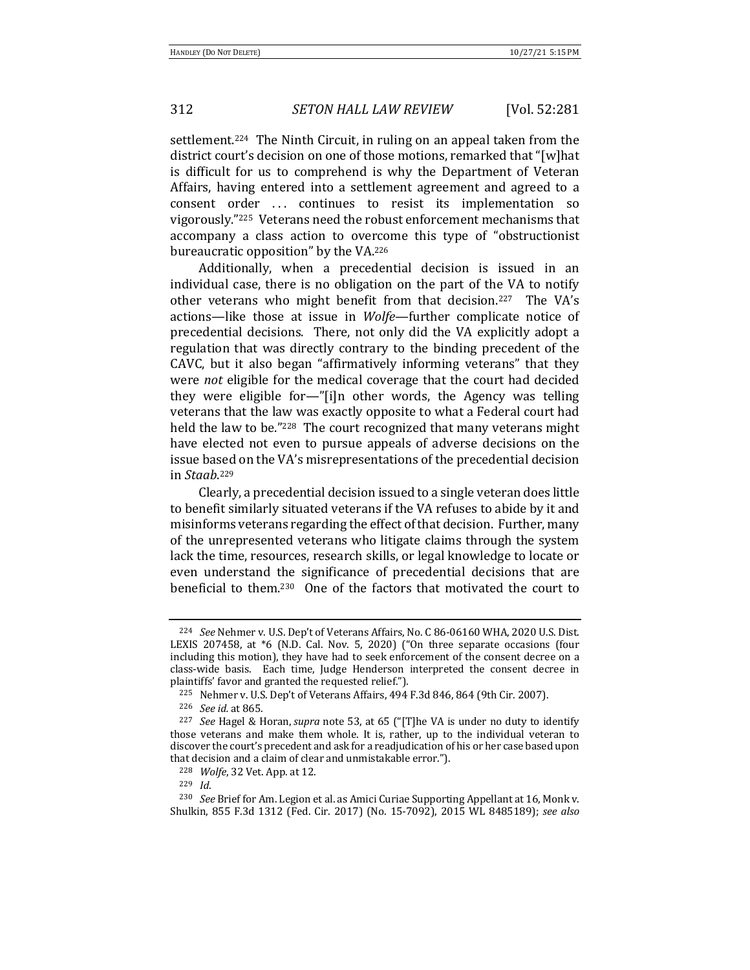settlement.<sup>224</sup> The Ninth Circuit, in ruling on an appeal taken from the district court's decision on one of those motions, remarked that "[w]hat is difficult for us to comprehend is why the Department of Veteran Affairs, having entered into a settlement agreement and agreed to a consent order ... continues to resist its implementation so vigorously."<sup>225</sup> Veterans need the robust enforcement mechanisms that accompany a class action to overcome this type of "obstructionist bureaucratic opposition" by the VA.<sup>226</sup>

Additionally, when a precedential decision is issued in an individual case, there is no obligation on the part of the VA to notify other veterans who might benefit from that decision.<sup>227</sup> The VA's actions—like those at issue in *Wolfe*—further complicate notice of precedential decisions. There, not only did the VA explicitly adopt a regulation that was directly contrary to the binding precedent of the CAVC, but it also began "affirmatively informing veterans" that they were *not* eligible for the medical coverage that the court had decided they were eligible for—"[i]n other words, the Agency was telling veterans that the law was exactly opposite to what a Federal court had held the law to be."<sup>228</sup> The court recognized that many veterans might have elected not even to pursue appeals of adverse decisions on the issue based on the VA's misrepresentations of the precedential decision in *Staab*. 229

Clearly, a precedential decision issued to a single veteran does little to benefit similarly situated veterans if the VA refuses to abide by it and misinforms veterans regarding the effect of that decision. Further, many of the unrepresented veterans who litigate claims through the system lack the time, resources, research skills, or legal knowledge to locate or even understand the significance of precedential decisions that are beneficial to them.<sup>230</sup> One of the factors that motivated the court to

<sup>&</sup>lt;sup>224</sup> *See* Nehmer v. U.S. Dep't of Veterans Affairs, No. C 86-06160 WHA, 2020 U.S. Dist. LEXIS 207458, at \*6 (N.D. Cal. Nov. 5, 2020) ("On three separate occasions (four including this motion), they have had to seek enforcement of the consent decree on a class-wide basis. Each time, Judge Henderson interpreted the consent decree in plaintiffs' favor and granted the requested relief.").

 $225$  Nehmer v. U.S. Dep't of Veterans Affairs, 494 F.3d 846, 864 (9th Cir. 2007).

<sup>226</sup> *See id.* at 865.

<sup>&</sup>lt;sup>227</sup> *See* Hagel & Horan, *supra* note 53, at 65 ("[T]he VA is under no duty to identify those veterans and make them whole. It is, rather, up to the individual veteran to discover the court's precedent and ask for a readjudication of his or her case based upon that decision and a claim of clear and unmistakable error.").

<sup>228</sup> *Wolfe*, 32 Vet. App. at 12.

<sup>229</sup> *Id*.

<sup>&</sup>lt;sup>230</sup> *See* Brief for Am. Legion et al. as Amici Curiae Supporting Appellant at 16, Monk v. Shulkin, 855 F.3d 1312 (Fed. Cir. 2017) (No. 15-7092), 2015 WL 8485189); see also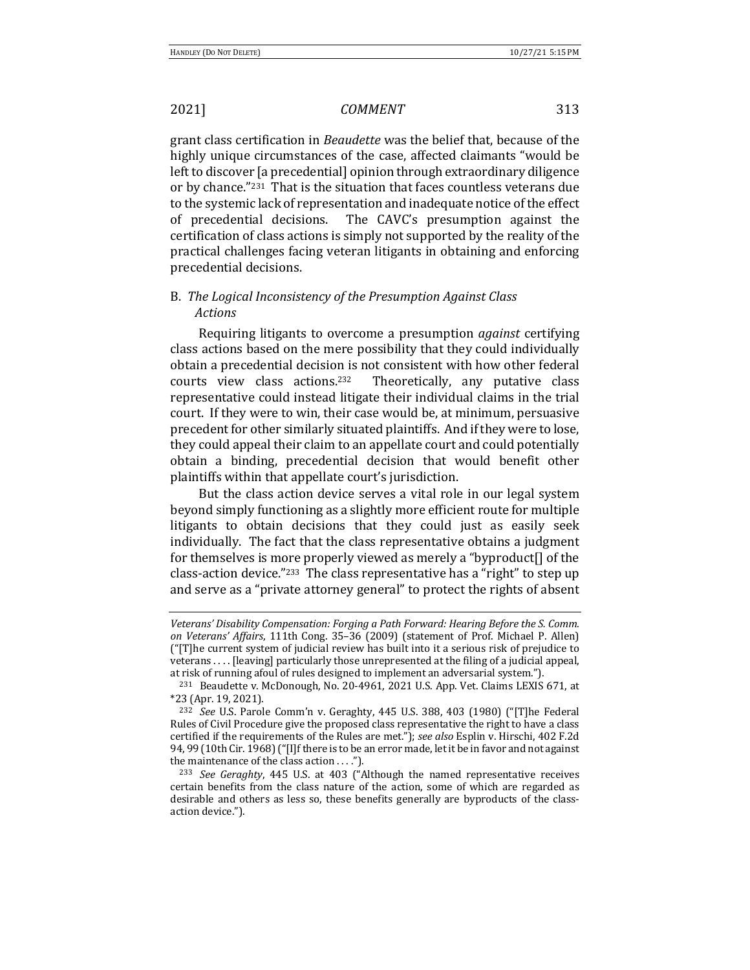grant class certification in *Beaudette* was the belief that, because of the highly unique circumstances of the case, affected claimants "would be left to discover [a precedential] opinion through extraordinary diligence or by chance."<sup>231</sup> That is the situation that faces countless veterans due to the systemic lack of representation and inadequate notice of the effect of precedential decisions. The CAVC's presumption against the certification of class actions is simply not supported by the reality of the practical challenges facing veteran litigants in obtaining and enforcing precedential decisions.

## B. The Logical Inconsistency of the Presumption Against Class *Actions*

Requiring litigants to overcome a presumption *against* certifying class actions based on the mere possibility that they could individually obtain a precedential decision is not consistent with how other federal courts view class actions.<sup>232</sup> Theoretically, any putative class representative could instead litigate their individual claims in the trial court. If they were to win, their case would be, at minimum, persuasive precedent for other similarly situated plaintiffs. And if they were to lose, they could appeal their claim to an appellate court and could potentially obtain a binding, precedential decision that would benefit other plaintiffs within that appellate court's jurisdiction.

But the class action device serves a vital role in our legal system beyond simply functioning as a slightly more efficient route for multiple litigants to obtain decisions that they could just as easily seek individually. The fact that the class representative obtains a judgment for themselves is more properly viewed as merely a "byproduct $[]$  of the class-action device."<sup>233</sup> The class representative has a "right" to step up and serve as a "private attorney general" to protect the rights of absent

*Veterans'* Disability Compensation: Forging a Path Forward: Hearing Before the S. Comm. *on* Veterans' Affairs, 111th Cong. 35-36 (2009) (statement of Prof. Michael P. Allen)  $("T]$ he current system of judicial review has built into it a serious risk of prejudice to  $\text{veterans} \dots$  [leaving] particularly those unrepresented at the filing of a judicial appeal, at risk of running afoul of rules designed to implement an adversarial system.").

<sup>&</sup>lt;sup>231</sup> Beaudette v. McDonough, No. 20-4961, 2021 U.S. App. Vet. Claims LEXIS 671, at \*23 (Apr. 19, 2021).

<sup>&</sup>lt;sup>232</sup> See U.S. Parole Comm'n v. Geraghty, 445 U.S. 388, 403 (1980) ("[T]he Federal Rules of Civil Procedure give the proposed class representative the right to have a class certified if the requirements of the Rules are met."); *see also* Esplin v. Hirschi, 402 F.2d 94, 99 (10th Cir. 1968) ("[I]f there is to be an error made, let it be in favor and not against the maintenance of the class action  $\dots$ ").

<sup>&</sup>lt;sup>233</sup> *See Geraghty*, 445 U.S. at 403 ("Although the named representative receives certain benefits from the class nature of the action, some of which are regarded as desirable and others as less so, these benefits generally are byproducts of the classaction device.").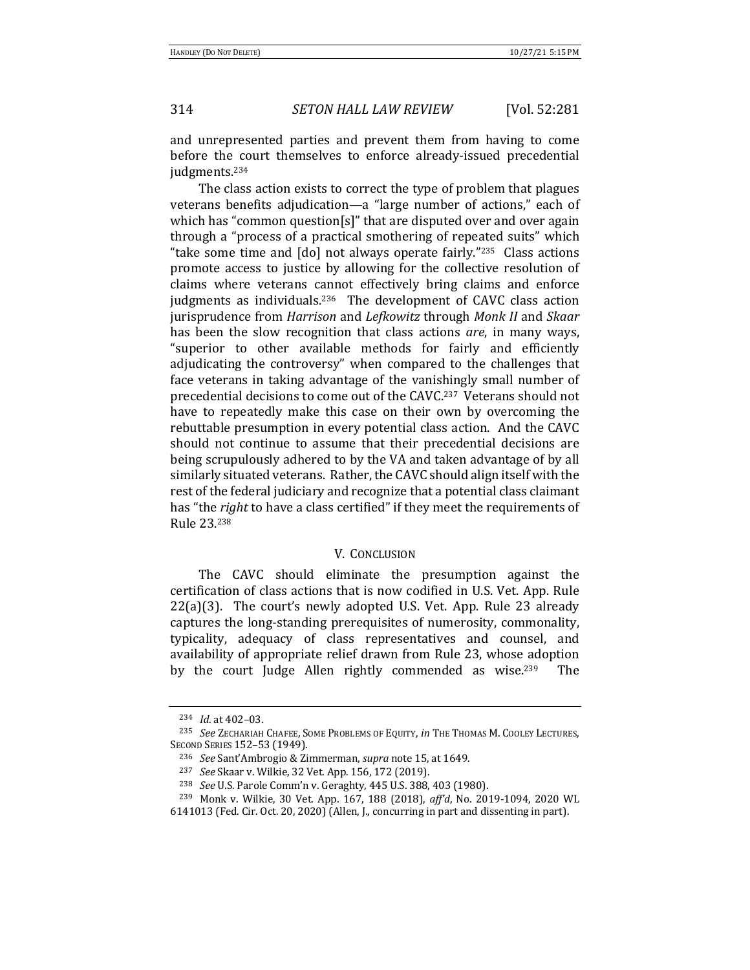and unrepresented parties and prevent them from having to come before the court themselves to enforce already-issued precedential judgments.234

The class action exists to correct the type of problem that plagues veterans benefits adjudication—a "large number of actions," each of which has "common question[s]" that are disputed over and over again through a "process of a practical smothering of repeated suits" which "take some time and  $\lceil$  do] not always operate fairly."<sup>235</sup> Class actions promote access to justice by allowing for the collective resolution of claims where veterans cannot effectively bring claims and enforce judgments as individuals.<sup>236</sup> The development of CAVC class action jurisprudence from *Harrison* and *Lefkowitz* through *Monk II* and *Skaar* has been the slow recognition that class actions *are*, in many ways, "superior to other available methods for fairly and efficiently adjudicating the controversy" when compared to the challenges that face veterans in taking advantage of the vanishingly small number of precedential decisions to come out of the CAVC.<sup>237</sup> Veterans should not have to repeatedly make this case on their own by overcoming the rebuttable presumption in every potential class action. And the CAVC should not continue to assume that their precedential decisions are being scrupulously adhered to by the VA and taken advantage of by all similarly situated veterans. Rather, the CAVC should align itself with the rest of the federal judiciary and recognize that a potential class claimant has "the *right* to have a class certified" if they meet the requirements of Rule 23.238

### **V. CONCLUSION**

The CAVC should eliminate the presumption against the certification of class actions that is now codified in U.S. Vet. App. Rule  $22(a)(3)$ . The court's newly adopted U.S. Vet. App. Rule 23 already captures the long-standing prerequisites of numerosity, commonality, typicality, adequacy of class representatives and counsel, and availability of appropriate relief drawn from Rule 23, whose adoption by the court Judge Allen rightly commended as wise.<sup>239</sup> The

<sup>234</sup> *Id.* at 402-03.

<sup>&</sup>lt;sup>235</sup> See ZECHARIAH CHAFEE, SOME PROBLEMS OF EQUITY, *in* THE THOMAS M. COOLEY LECTURES, SECOND SERIES 152-53 (1949).

<sup>&</sup>lt;sup>236</sup> *See* Sant'Ambrogio & Zimmerman, *supra* note 15, at 1649.

<sup>&</sup>lt;sup>237</sup> *See* Skaar v. Wilkie, 32 Vet. App. 156, 172 (2019).

<sup>&</sup>lt;sup>238</sup> *See* U.S. Parole Comm'n v. Geraghty, 445 U.S. 388, 403 (1980).

<sup>&</sup>lt;sup>239</sup> Monk v. Wilkie, 30 Vet. App. 167, 188 (2018), aff'd, No. 2019-1094, 2020 WL

 $6141013$  (Fed. Cir. Oct. 20, 2020) (Allen, J., concurring in part and dissenting in part).